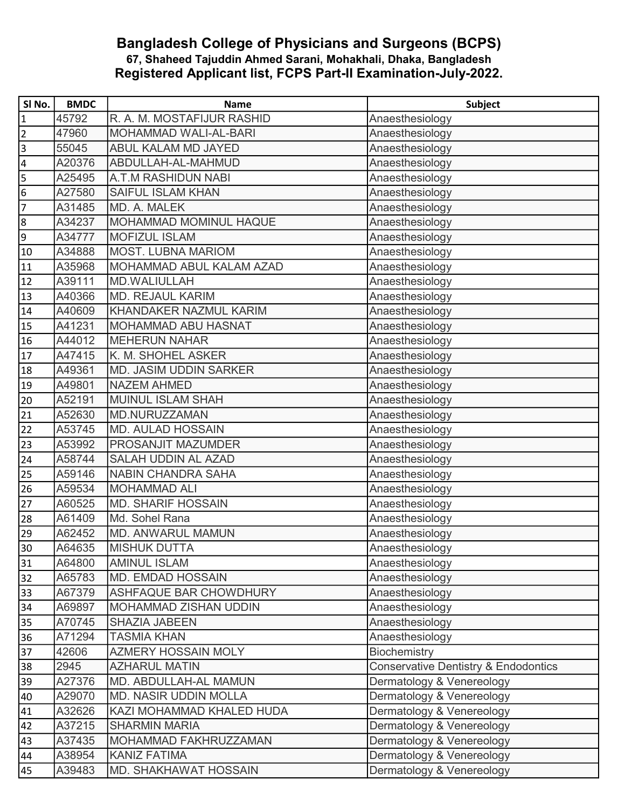## Bangladesh College of Physicians and Surgeons (BCPS) 67, Shaheed Tajuddin Ahmed Sarani, Mohakhali, Dhaka, Bangladesh Registered Applicant list, FCPS Part-II Examination-July-2022.

| SI No.                  | <b>BMDC</b> | <b>Name</b>                   | Subject                                         |
|-------------------------|-------------|-------------------------------|-------------------------------------------------|
| $\overline{\mathbf{1}}$ | 45792       | R. A. M. MOSTAFIJUR RASHID    | Anaesthesiology                                 |
| 2                       | 47960       | MOHAMMAD WALI-AL-BARI         | Anaesthesiology                                 |
| 3                       | 55045       | ABUL KALAM MD JAYED           | Anaesthesiology                                 |
| $\overline{4}$          | A20376      | ABDULLAH-AL-MAHMUD            | Anaesthesiology                                 |
| 5                       | A25495      | A.T.M RASHIDUN NABI           | Anaesthesiology                                 |
| 6                       | A27580      | <b>SAIFUL ISLAM KHAN</b>      | Anaesthesiology                                 |
| 7                       | A31485      | MD. A. MALEK                  | Anaesthesiology                                 |
| 8                       | A34237      | <b>MOHAMMAD MOMINUL HAQUE</b> | Anaesthesiology                                 |
| 9                       | A34777      | <b>MOFIZUL ISLAM</b>          | Anaesthesiology                                 |
| 10                      | A34888      | <b>MOST. LUBNA MARIOM</b>     | Anaesthesiology                                 |
| 11                      | A35968      | MOHAMMAD ABUL KALAM AZAD      | Anaesthesiology                                 |
| 12                      | A39111      | MD.WALIULLAH                  | Anaesthesiology                                 |
| 13                      | A40366      | <b>MD. REJAUL KARIM</b>       | Anaesthesiology                                 |
| 14                      | A40609      | KHANDAKER NAZMUL KARIM        | Anaesthesiology                                 |
| 15                      | A41231      | <b>MOHAMMAD ABU HASNAT</b>    | Anaesthesiology                                 |
| $\overline{16}$         | A44012      | <b>MEHERUN NAHAR</b>          | Anaesthesiology                                 |
| 17                      | A47415      | K. M. SHOHEL ASKER            | Anaesthesiology                                 |
| 18                      | A49361      | <b>MD. JASIM UDDIN SARKER</b> | Anaesthesiology                                 |
| 19                      | A49801      | <b>NAZEM AHMED</b>            | Anaesthesiology                                 |
| 20                      | A52191      | <b>MUINUL ISLAM SHAH</b>      | Anaesthesiology                                 |
| 21                      | A52630      | MD.NURUZZAMAN                 | Anaesthesiology                                 |
| 22                      | A53745      | <b>MD. AULAD HOSSAIN</b>      | Anaesthesiology                                 |
| 23                      | A53992      | <b>PROSANJIT MAZUMDER</b>     | Anaesthesiology                                 |
| 24                      | A58744      | SALAH UDDIN AL AZAD           | Anaesthesiology                                 |
| 25                      | A59146      | <b>NABIN CHANDRA SAHA</b>     | Anaesthesiology                                 |
| 26                      | A59534      | <b>MOHAMMAD ALI</b>           | Anaesthesiology                                 |
| 27                      | A60525      | <b>MD. SHARIF HOSSAIN</b>     | Anaesthesiology                                 |
| 28                      | A61409      | Md. Sohel Rana                | Anaesthesiology                                 |
| 29                      | A62452      | <b>MD. ANWARUL MAMUN</b>      | Anaesthesiology                                 |
| 30                      | A64635      | <b>MISHUK DUTTA</b>           | Anaesthesiology                                 |
| 31                      | A64800      | <b>AMINUL ISLAM</b>           | Anaesthesiology                                 |
| 32                      | A65783      | <b>MD. EMDAD HOSSAIN</b>      | Anaesthesiology                                 |
| 33                      | A67379      | ASHFAQUE BAR CHOWDHURY        | Anaesthesiology                                 |
| 34                      | A69897      | MOHAMMAD ZISHAN UDDIN         | Anaesthesiology                                 |
| 35                      | A70745      | <b>SHAZIA JABEEN</b>          | Anaesthesiology                                 |
| 36                      | A71294      | <b>TASMIA KHAN</b>            | Anaesthesiology                                 |
| 37                      | 42606       | <b>AZMERY HOSSAIN MOLY</b>    | Biochemistry                                    |
| 38                      | 2945        | <b>AZHARUL MATIN</b>          | <b>Conservative Dentistry &amp; Endodontics</b> |
| 39                      | A27376      | MD. ABDULLAH-AL MAMUN         | Dermatology & Venereology                       |
| 40                      | A29070      | <b>MD. NASIR UDDIN MOLLA</b>  | Dermatology & Venereology                       |
| 41                      | A32626      | KAZI MOHAMMAD KHALED HUDA     | Dermatology & Venereology                       |
| 42                      | A37215      | <b>SHARMIN MARIA</b>          | Dermatology & Venereology                       |
| 43                      | A37435      | <b>MOHAMMAD FAKHRUZZAMAN</b>  | Dermatology & Venereology                       |
| 44                      | A38954      | <b>KANIZ FATIMA</b>           | Dermatology & Venereology                       |
| 45                      | A39483      | <b>MD. SHAKHAWAT HOSSAIN</b>  | Dermatology & Venereology                       |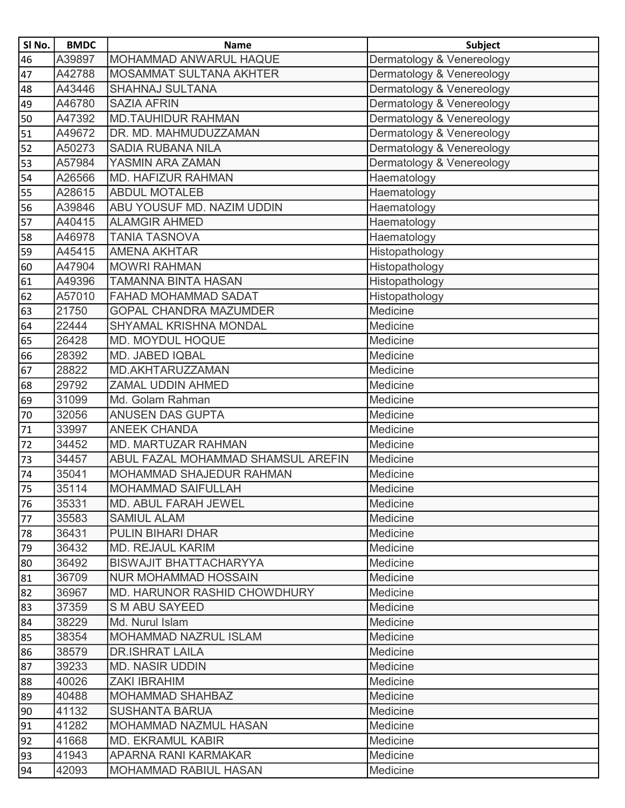| SI No.          | <b>BMDC</b> | <b>Name</b>                        | <b>Subject</b>            |
|-----------------|-------------|------------------------------------|---------------------------|
| 46              | A39897      | <b>MOHAMMAD ANWARUL HAQUE</b>      | Dermatology & Venereology |
| 47              | A42788      | <b>MOSAMMAT SULTANA AKHTER</b>     | Dermatology & Venereology |
| 48              | A43446      | <b>SHAHNAJ SULTANA</b>             | Dermatology & Venereology |
| 49              | A46780      | <b>SAZIA AFRIN</b>                 | Dermatology & Venereology |
| 50              | A47392      | <b>MD.TAUHIDUR RAHMAN</b>          | Dermatology & Venereology |
| 51              | A49672      | DR. MD. MAHMUDUZZAMAN              | Dermatology & Venereology |
| 52              | A50273      | <b>SADIA RUBANA NILA</b>           | Dermatology & Venereology |
| $\overline{53}$ | A57984      | YASMIN ARA ZAMAN                   | Dermatology & Venereology |
| 54              | A26566      | <b>MD. HAFIZUR RAHMAN</b>          | Haematology               |
| 55              | A28615      | <b>ABDUL MOTALEB</b>               | Haematology               |
| 56              | A39846      | ABU YOUSUF MD. NAZIM UDDIN         | Haematology               |
| 57              | A40415      | <b>ALAMGIR AHMED</b>               | Haematology               |
| 58              | A46978      | <b>TANIA TASNOVA</b>               | Haematology               |
| $\overline{59}$ | A45415      | <b>AMENA AKHTAR</b>                | Histopathology            |
| 60              | A47904      | <b>MOWRI RAHMAN</b>                | Histopathology            |
| 61              | A49396      | <b>TAMANNA BINTA HASAN</b>         | Histopathology            |
| 62              | A57010      | FAHAD MOHAMMAD SADAT               | Histopathology            |
| 63              | 21750       | <b>GOPAL CHANDRA MAZUMDER</b>      | <b>Medicine</b>           |
| 64              | 22444       | <b>SHYAMAL KRISHNA MONDAL</b>      | Medicine                  |
| 65              | 26428       | MD. MOYDUL HOQUE                   | Medicine                  |
| 66              | 28392       | MD. JABED IQBAL                    | Medicine                  |
| 67              | 28822       | MD.AKHTARUZZAMAN                   | Medicine                  |
| 68              | 29792       | ZAMAL UDDIN AHMED                  | Medicine                  |
| 69              | 31099       | Md. Golam Rahman                   | Medicine                  |
| 70              | 32056       | <b>ANUSEN DAS GUPTA</b>            | Medicine                  |
| 71              | 33997       | <b>ANEEK CHANDA</b>                | Medicine                  |
| 72              | 34452       | MD. MARTUZAR RAHMAN                | Medicine                  |
| 73              | 34457       | ABUL FAZAL MOHAMMAD SHAMSUL AREFIN | Medicine                  |
| 74              | 35041       | MOHAMMAD SHAJEDUR RAHMAN           | Medicine                  |
| 75              | 35114       | <b>MOHAMMAD SAIFULLAH</b>          | Medicine                  |
| 76              | 35331       | <b>MD. ABUL FARAH JEWEL</b>        | Medicine                  |
| 77              | 35583       | <b>SAMIUL ALAM</b>                 | Medicine                  |
| 78              | 36431       | <b>PULIN BIHARI DHAR</b>           | Medicine                  |
| 79              | 36432       | <b>MD. REJAUL KARIM</b>            | Medicine                  |
| 80              | 36492       | <b>BISWAJIT BHATTACHARYYA</b>      | Medicine                  |
| 81              | 36709       | <b>NUR MOHAMMAD HOSSAIN</b>        | Medicine                  |
| 82              | 36967       | MD. HARUNOR RASHID CHOWDHURY       | Medicine                  |
| 83              | 37359       | <b>S M ABU SAYEED</b>              | Medicine                  |
| 84              | 38229       | Md. Nurul Islam                    | Medicine                  |
| 85              | 38354       | <b>MOHAMMAD NAZRUL ISLAM</b>       | Medicine                  |
| 86              | 38579       | <b>DR.ISHRAT LAILA</b>             | Medicine                  |
| 87              | 39233       | <b>MD. NASIR UDDIN</b>             | Medicine                  |
| 88              | 40026       | <b>ZAKI IBRAHIM</b>                | Medicine                  |
| 89              | 40488       | <b>MOHAMMAD SHAHBAZ</b>            | Medicine                  |
| 90              | 41132       | <b>SUSHANTA BARUA</b>              | Medicine                  |
| 91              | 41282       | MOHAMMAD NAZMUL HASAN              | Medicine                  |
| 92              | 41668       | <b>MD. EKRAMUL KABIR</b>           | Medicine                  |
| 93              | 41943       | APARNA RANI KARMAKAR               | Medicine                  |
| 94              | 42093       | <b>MOHAMMAD RABIUL HASAN</b>       | Medicine                  |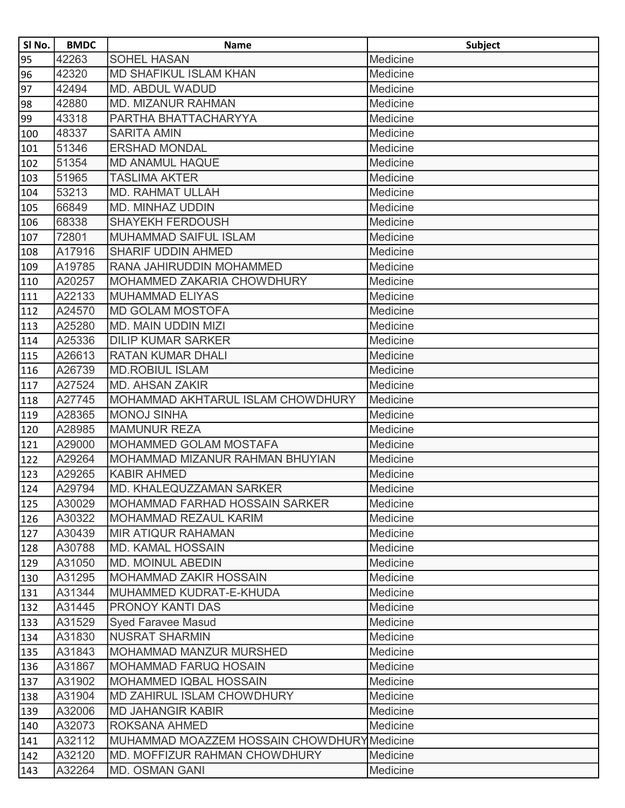| SI No.          | <b>BMDC</b> | <b>Name</b>                                | <b>Subject</b> |
|-----------------|-------------|--------------------------------------------|----------------|
| 95              | 42263       | <b>SOHEL HASAN</b>                         | Medicine       |
| 96              | 42320       | MD SHAFIKUL ISLAM KHAN                     | Medicine       |
| $\overline{97}$ | 42494       | <b>MD. ABDUL WADUD</b>                     | Medicine       |
| 98              | 42880       | <b>MD. MIZANUR RAHMAN</b>                  | Medicine       |
| 99              | 43318       | PARTHA BHATTACHARYYA                       | Medicine       |
| 100             | 48337       | <b>SARITA AMIN</b>                         | Medicine       |
| 101             | 51346       | <b>ERSHAD MONDAL</b>                       | Medicine       |
| 102             | 51354       | <b>MD ANAMUL HAQUE</b>                     | Medicine       |
| 103             | 51965       | <b>TASLIMA AKTER</b>                       | Medicine       |
| 104             | 53213       | <b>MD. RAHMAT ULLAH</b>                    | Medicine       |
| 105             | 66849       | <b>MD. MINHAZ UDDIN</b>                    | Medicine       |
| 106             | 68338       | <b>SHAYEKH FERDOUSH</b>                    | Medicine       |
| 107             | 72801       | <b>MUHAMMAD SAIFUL ISLAM</b>               | Medicine       |
| 108             | A17916      | <b>SHARIF UDDIN AHMED</b>                  | Medicine       |
| 109             | A19785      | RANA JAHIRUDDIN MOHAMMED                   | Medicine       |
| 110             | A20257      | MOHAMMED ZAKARIA CHOWDHURY                 | Medicine       |
| 111             | A22133      | <b>MUHAMMAD ELIYAS</b>                     | Medicine       |
| 112             | A24570      | <b>MD GOLAM MOSTOFA</b>                    | Medicine       |
| 113             | A25280      | <b>MD. MAIN UDDIN MIZI</b>                 | Medicine       |
| 114             | A25336      | <b>DILIP KUMAR SARKER</b>                  | Medicine       |
| 115             | A26613      | <b>RATAN KUMAR DHALI</b>                   | Medicine       |
| 116             | A26739      | <b>MD.ROBIUL ISLAM</b>                     | Medicine       |
| $\sqrt{117}$    | A27524      | <b>MD. AHSAN ZAKIR</b>                     | Medicine       |
| 118             | A27745      | MOHAMMAD AKHTARUL ISLAM CHOWDHURY          | Medicine       |
| 119             | A28365      | <b>MONOJ SINHA</b>                         | Medicine       |
| 120             | A28985      | <b>MAMUNUR REZA</b>                        | Medicine       |
| 121             | A29000      | MOHAMMED GOLAM MOSTAFA                     | Medicine       |
| 122             | A29264      | MOHAMMAD MIZANUR RAHMAN BHUYIAN            | Medicine       |
| 123             | A29265      | <b>KABIR AHMED</b>                         | Medicine       |
| 124             | A29794      | MD. KHALEQUZZAMAN SARKER                   | Medicine       |
| 125             | A30029      | <b>MOHAMMAD FARHAD HOSSAIN SARKER</b>      | Medicine       |
| 126             | A30322      | MOHAMMAD REZAUL KARIM                      | Medicine       |
| 127             | A30439      | <b>MIR ATIQUR RAHAMAN</b>                  | Medicine       |
| 128             | A30788      | <b>MD. KAMAL HOSSAIN</b>                   | Medicine       |
| 129             | A31050      | <b>MD. MOINUL ABEDIN</b>                   | Medicine       |
| 130             | A31295      | MOHAMMAD ZAKIR HOSSAIN                     | Medicine       |
| 131             | A31344      | MUHAMMED KUDRAT-E-KHUDA                    | Medicine       |
| 132             | A31445      | PRONOY KANTI DAS                           | Medicine       |
| 133             | A31529      | <b>Syed Faravee Masud</b>                  | Medicine       |
| 134             | A31830      | <b>NUSRAT SHARMIN</b>                      | Medicine       |
| 135             | A31843      | MOHAMMAD MANZUR MURSHED                    | Medicine       |
| 136             | A31867      | <b>MOHAMMAD FARUQ HOSAIN</b>               | Medicine       |
| 137             | A31902      | <b>MOHAMMED IQBAL HOSSAIN</b>              | Medicine       |
| 138             | A31904      | <b>MD ZAHIRUL ISLAM CHOWDHURY</b>          | Medicine       |
| 139             | A32006      | <b>MD JAHANGIR KABIR</b>                   | Medicine       |
| 140             | A32073      | ROKSANA AHMED                              | Medicine       |
| 141             | A32112      | MUHAMMAD MOAZZEM HOSSAIN CHOWDHURYMedicine |                |
| 142             | A32120      | MD. MOFFIZUR RAHMAN CHOWDHURY              | Medicine       |
| 143             | A32264      | <b>MD. OSMAN GANI</b>                      | Medicine       |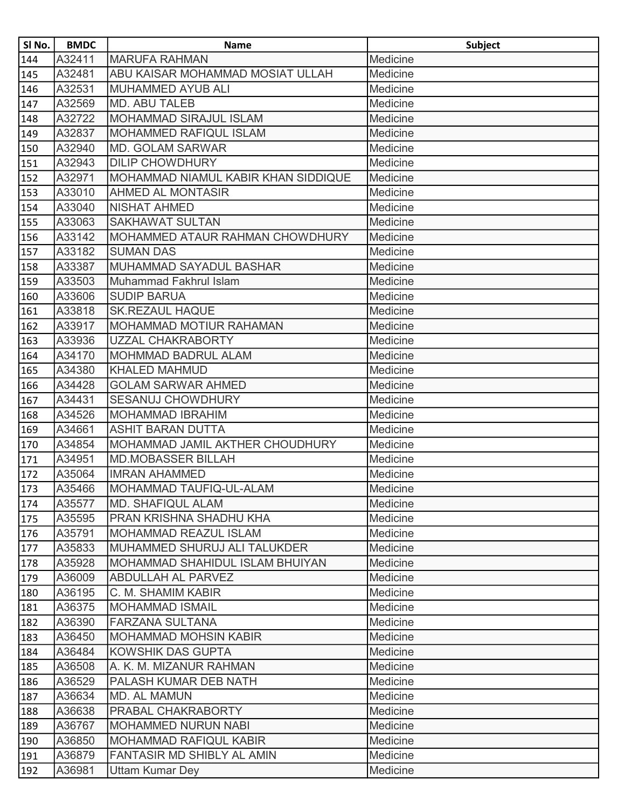| SI No.       | <b>BMDC</b> | <b>Name</b>                         | <b>Subject</b> |
|--------------|-------------|-------------------------------------|----------------|
| 144          | A32411      | <b>MARUFA RAHMAN</b>                | Medicine       |
| 145          | A32481      | ABU KAISAR MOHAMMAD MOSIAT ULLAH    | Medicine       |
| 146          | A32531      | <b>MUHAMMED AYUB ALI</b>            | Medicine       |
| 147          | A32569      | MD. ABU TALEB                       | Medicine       |
| 148          | A32722      | <b>MOHAMMAD SIRAJUL ISLAM</b>       | Medicine       |
| 149          | A32837      | <b>MOHAMMED RAFIQUL ISLAM</b>       | Medicine       |
| 150          | A32940      | <b>MD. GOLAM SARWAR</b>             | Medicine       |
| 151          | A32943      | <b>DILIP CHOWDHURY</b>              | Medicine       |
| 152          | A32971      | MOHAMMAD NIAMUL KABIR KHAN SIDDIQUE | Medicine       |
| 153          | A33010      | <b>AHMED AL MONTASIR</b>            | Medicine       |
| 154          | A33040      | <b>NISHAT AHMED</b>                 | Medicine       |
| 155          | A33063      | <b>SAKHAWAT SULTAN</b>              | Medicine       |
| 156          | A33142      | MOHAMMED ATAUR RAHMAN CHOWDHURY     | Medicine       |
| 157          | A33182      | <b>SUMAN DAS</b>                    | Medicine       |
| 158          | A33387      | MUHAMMAD SAYADUL BASHAR             | Medicine       |
| $\sqrt{159}$ | A33503      | Muhammad Fakhrul Islam              | Medicine       |
| 160          | A33606      | <b>SUDIP BARUA</b>                  | Medicine       |
| 161          | A33818      | <b>SK.REZAUL HAQUE</b>              | Medicine       |
| 162          | A33917      | <b>MOHAMMAD MOTIUR RAHAMAN</b>      | Medicine       |
| 163          | A33936      | <b>UZZAL CHAKRABORTY</b>            | Medicine       |
| 164          | A34170      | <b>MOHMMAD BADRUL ALAM</b>          | Medicine       |
| 165          | A34380      | <b>KHALED MAHMUD</b>                | Medicine       |
| 166          | A34428      | <b>GOLAM SARWAR AHMED</b>           | Medicine       |
| 167          | A34431      | <b>SESANUJ CHOWDHURY</b>            | Medicine       |
| 168          | A34526      | <b>MOHAMMAD IBRAHIM</b>             | Medicine       |
| 169          | A34661      | <b>ASHIT BARAN DUTTA</b>            | Medicine       |
| 170          | A34854      | MOHAMMAD JAMIL AKTHER CHOUDHURY     | Medicine       |
| 171          | A34951      | <b>MD.MOBASSER BILLAH</b>           | Medicine       |
| 172          | A35064      | <b>IMRAN AHAMMED</b>                | Medicine       |
| $\sqrt{173}$ | A35466      | MOHAMMAD TAUFIQ-UL-ALAM             | Medicine       |
| 174          | A35577      | <b>MD. SHAFIQUL ALAM</b>            | Medicine       |
| 175          | A35595      | <b>PRAN KRISHNA SHADHU KHA</b>      | Medicine       |
| 176          | A35791      | <b>MOHAMMAD REAZUL ISLAM</b>        | Medicine       |
| 177          | A35833      | MUHAMMED SHURUJ ALI TALUKDER        | Medicine       |
| 178          | A35928      | MOHAMMAD SHAHIDUL ISLAM BHUIYAN     | Medicine       |
| 179          | A36009      | <b>ABDULLAH AL PARVEZ</b>           | Medicine       |
| 180          | A36195      | C. M. SHAMIM KABIR                  | Medicine       |
| 181          | A36375      | <b>MOHAMMAD ISMAIL</b>              | Medicine       |
| 182          | A36390      | FARZANA SULTANA                     | Medicine       |
| 183          | A36450      | <b>MOHAMMAD MOHSIN KABIR</b>        | Medicine       |
| 184          | A36484      | <b>KOWSHIK DAS GUPTA</b>            | Medicine       |
| 185          | A36508      | A. K. M. MIZANUR RAHMAN             | Medicine       |
| 186          | A36529      | PALASH KUMAR DEB NATH               | Medicine       |
| 187          | A36634      | <b>MD. AL MAMUN</b>                 | Medicine       |
| 188          | A36638      | PRABAL CHAKRABORTY                  | Medicine       |
| 189          | A36767      | <b>MOHAMMED NURUN NABI</b>          | Medicine       |
| 190          | A36850      | <b>MOHAMMAD RAFIQUL KABIR</b>       | Medicine       |
| 191          | A36879      | <b>FANTASIR MD SHIBLY AL AMIN</b>   | Medicine       |
| 192          | A36981      | <b>Uttam Kumar Dey</b>              | Medicine       |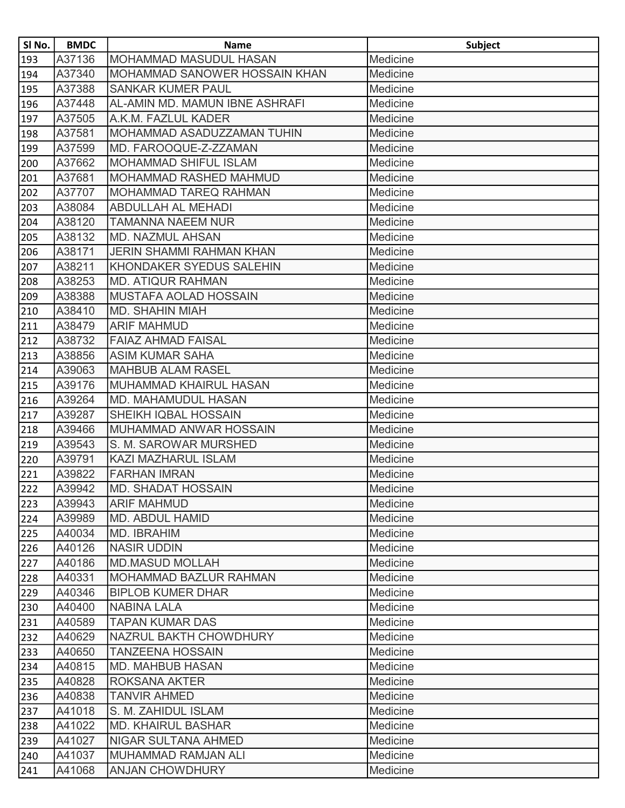| SI No. | <b>BMDC</b> | <b>Name</b>                     | <b>Subject</b> |
|--------|-------------|---------------------------------|----------------|
| 193    | A37136      | <b>MOHAMMAD MASUDUL HASAN</b>   | Medicine       |
| 194    | A37340      | MOHAMMAD SANOWER HOSSAIN KHAN   | Medicine       |
| 195    | A37388      | <b>SANKAR KUMER PAUL</b>        | Medicine       |
| 196    | A37448      | AL-AMIN MD. MAMUN IBNE ASHRAFI  | Medicine       |
| 197    | A37505      | A.K.M. FAZLUL KADER             | Medicine       |
| 198    | A37581      | MOHAMMAD ASADUZZAMAN TUHIN      | Medicine       |
| 199    | A37599      | MD. FAROOQUE-Z-ZZAMAN           | Medicine       |
| 200    | A37662      | <b>MOHAMMAD SHIFUL ISLAM</b>    | Medicine       |
| 201    | A37681      | MOHAMMAD RASHED MAHMUD          | Medicine       |
| 202    | A37707      | <b>MOHAMMAD TAREQ RAHMAN</b>    | Medicine       |
| 203    | A38084      | <b>ABDULLAH AL MEHADI</b>       | Medicine       |
| 204    | A38120      | <b>TAMANNA NAEEM NUR</b>        | Medicine       |
| 205    | A38132      | <b>MD. NAZMUL AHSAN</b>         | Medicine       |
| 206    | A38171      | <b>JERIN SHAMMI RAHMAN KHAN</b> | Medicine       |
| 207    | A38211      | KHONDAKER SYEDUS SALEHIN        | Medicine       |
| 208    | A38253      | <b>MD. ATIQUR RAHMAN</b>        | Medicine       |
| 209    | A38388      | <b>MUSTAFA AOLAD HOSSAIN</b>    | Medicine       |
| 210    | A38410      | <b>MD. SHAHIN MIAH</b>          | Medicine       |
| 211    | A38479      | <b>ARIF MAHMUD</b>              | Medicine       |
| 212    | A38732      | <b>FAIAZ AHMAD FAISAL</b>       | Medicine       |
| 213    | A38856      | <b>ASIM KUMAR SAHA</b>          | Medicine       |
| 214    | A39063      | <b>MAHBUB ALAM RASEL</b>        | Medicine       |
| 215    | A39176      | MUHAMMAD KHAIRUL HASAN          | Medicine       |
| 216    | A39264      | <b>MD. MAHAMUDUL HASAN</b>      | Medicine       |
| 217    | A39287      | SHEIKH IQBAL HOSSAIN            | Medicine       |
| 218    | A39466      | MUHAMMAD ANWAR HOSSAIN          | Medicine       |
| 219    | A39543      | S. M. SAROWAR MURSHED           | Medicine       |
| 220    | A39791      | <b>KAZI MAZHARUL ISLAM</b>      | Medicine       |
| 221    | A39822      | <b>FARHAN IMRAN</b>             | Medicine       |
| 222    | A39942      | <b>MD. SHADAT HOSSAIN</b>       | Medicine       |
| 223    | A39943      | <b>ARIF MAHMUD</b>              | Medicine       |
| 224    | A39989      | <b>MD. ABDUL HAMID</b>          | Medicine       |
| 225    | A40034      | MD. IBRAHIM                     | Medicine       |
| 226    | A40126      | <b>NASIR UDDIN</b>              | Medicine       |
| 227    | A40186      | <b>MD.MASUD MOLLAH</b>          | Medicine       |
| 228    | A40331      | <b>MOHAMMAD BAZLUR RAHMAN</b>   | Medicine       |
| 229    | A40346      | <b>BIPLOB KUMER DHAR</b>        | Medicine       |
| 230    | A40400      | <b>NABINA LALA</b>              | Medicine       |
| 231    | A40589      | <b>TAPAN KUMAR DAS</b>          | Medicine       |
| 232    | A40629      | NAZRUL BAKTH CHOWDHURY          | Medicine       |
| 233    | A40650      | <b>TANZEENA HOSSAIN</b>         | Medicine       |
| 234    | A40815      | <b>MD. MAHBUB HASAN</b>         | Medicine       |
| 235    | A40828      | <b>ROKSANA AKTER</b>            | Medicine       |
| 236    | A40838      | <b>TANVIR AHMED</b>             | Medicine       |
| 237    | A41018      | S. M. ZAHIDUL ISLAM             | Medicine       |
| 238    | A41022      | <b>MD. KHAIRUL BASHAR</b>       | Medicine       |
| 239    | A41027      | <b>NIGAR SULTANA AHMED</b>      | Medicine       |
| 240    | A41037      | MUHAMMAD RAMJAN ALI             | Medicine       |
| 241    | A41068      | <b>ANJAN CHOWDHURY</b>          | Medicine       |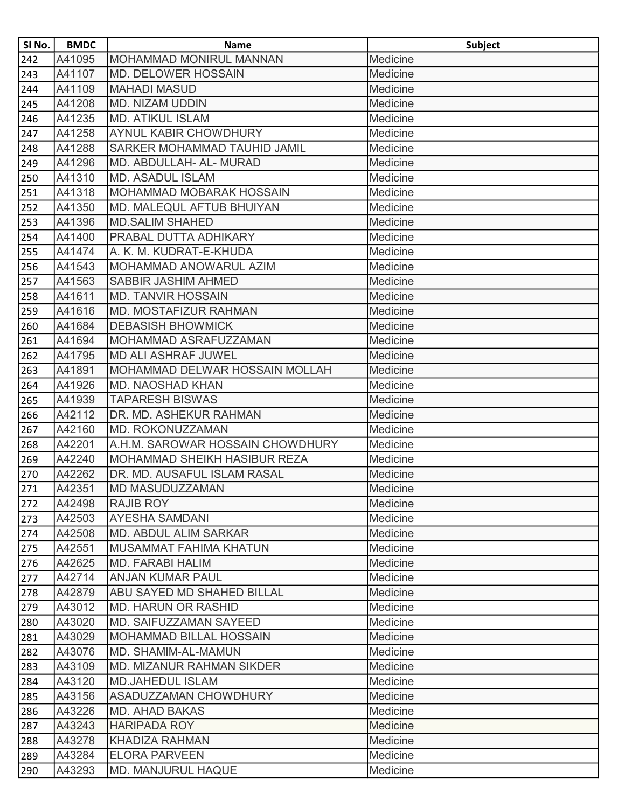| SI No. | <b>BMDC</b> | <b>Name</b>                       | <b>Subject</b> |
|--------|-------------|-----------------------------------|----------------|
| 242    | A41095      | <b>MOHAMMAD MONIRUL MANNAN</b>    | Medicine       |
| 243    | A41107      | <b>MD. DELOWER HOSSAIN</b>        | Medicine       |
| 244    | A41109      | <b>MAHADI MASUD</b>               | Medicine       |
| 245    | A41208      | <b>MD. NIZAM UDDIN</b>            | Medicine       |
| 246    | A41235      | <b>MD. ATIKUL ISLAM</b>           | Medicine       |
| 247    | A41258      | AYNUL KABIR CHOWDHURY             | Medicine       |
| 248    | A41288      | SARKER MOHAMMAD TAUHID JAMIL      | Medicine       |
| 249    | A41296      | MD. ABDULLAH- AL- MURAD           | Medicine       |
| 250    | A41310      | <b>MD. ASADUL ISLAM</b>           | Medicine       |
| 251    | A41318      | MOHAMMAD MOBARAK HOSSAIN          | Medicine       |
| 252    | A41350      | MD. MALEQUL AFTUB BHUIYAN         | Medicine       |
| 253    | A41396      | <b>MD.SALIM SHAHED</b>            | Medicine       |
| 254    | A41400      | PRABAL DUTTA ADHIKARY             | Medicine       |
| 255    | A41474      | A. K. M. KUDRAT-E-KHUDA           | Medicine       |
| 256    | A41543      | MOHAMMAD ANOWARUL AZIM            | Medicine       |
| 257    | A41563      | SABBIR JASHIM AHMED               | Medicine       |
| 258    | A41611      | <b>MD. TANVIR HOSSAIN</b>         | Medicine       |
| 259    | A41616      | <b>MD. MOSTAFIZUR RAHMAN</b>      | Medicine       |
| 260    | A41684      | <b>DEBASISH BHOWMICK</b>          | Medicine       |
| 261    | A41694      | MOHAMMAD ASRAFUZZAMAN             | Medicine       |
| 262    | A41795      | <b>MD ALI ASHRAF JUWEL</b>        | Medicine       |
| 263    | A41891      | MOHAMMAD DELWAR HOSSAIN MOLLAH    | Medicine       |
| 264    | A41926      | <b>MD. NAOSHAD KHAN</b>           | Medicine       |
| 265    | A41939      | <b>TAPARESH BISWAS</b>            | Medicine       |
| 266    | A42112      | DR. MD. ASHEKUR RAHMAN            | Medicine       |
| 267    | A42160      | MD. ROKONUZZAMAN                  | Medicine       |
| 268    | A42201      | A.H.M. SAROWAR HOSSAIN CHOWDHURY  | Medicine       |
| 269    | A42240      | MOHAMMAD SHEIKH HASIBUR REZA      | Medicine       |
| 270    | A42262      | DR. MD. AUSAFUL ISLAM RASAL       | Medicine       |
| 271    | A42351      | <b>MD MASUDUZZAMAN</b>            | Medicine       |
| 272    | A42498      | <b>RAJIB ROY</b>                  | Medicine       |
| 273    | A42503      | <b>AYESHA SAMDANI</b>             | Medicine       |
| 274    | A42508      | <b>MD. ABDUL ALIM SARKAR</b>      | Medicine       |
| 275    | A42551      | MUSAMMAT FAHIMA KHATUN            | Medicine       |
| 276    | A42625      | <b>MD. FARABI HALIM</b>           | Medicine       |
| 277    | A42714      | <b>ANJAN KUMAR PAUL</b>           | Medicine       |
| 278    | A42879      | <b>ABU SAYED MD SHAHED BILLAL</b> | Medicine       |
| 279    | A43012      | <b>MD. HARUN OR RASHID</b>        | Medicine       |
| 280    | A43020      | MD. SAIFUZZAMAN SAYEED            | Medicine       |
| 281    | A43029      | <b>MOHAMMAD BILLAL HOSSAIN</b>    | Medicine       |
| 282    | A43076      | MD. SHAMIM-AL-MAMUN               | Medicine       |
| 283    | A43109      | <b>MD. MIZANUR RAHMAN SIKDER</b>  | Medicine       |
| 284    | A43120      | <b>MD.JAHEDUL ISLAM</b>           | Medicine       |
| 285    | A43156      | <b>ASADUZZAMAN CHOWDHURY</b>      | Medicine       |
| 286    | A43226      | <b>MD. AHAD BAKAS</b>             | Medicine       |
| 287    | A43243      | <b>HARIPADA ROY</b>               | Medicine       |
| 288    | A43278      | <b>KHADIZA RAHMAN</b>             | Medicine       |
| 289    | A43284      | <b>ELORA PARVEEN</b>              | Medicine       |
| 290    | A43293      | MD. MANJURUL HAQUE                | Medicine       |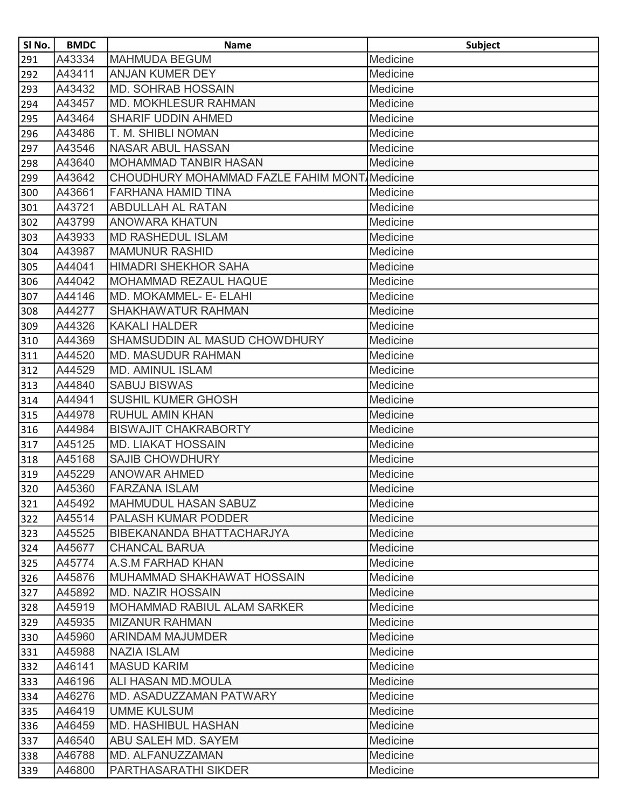| SI No. | <b>BMDC</b> | <b>Name</b>                                  | <b>Subject</b> |
|--------|-------------|----------------------------------------------|----------------|
| 291    | A43334      | <b>MAHMUDA BEGUM</b>                         | Medicine       |
| 292    | A43411      | ANJAN KUMER DEY                              | Medicine       |
| 293    | A43432      | MD. SOHRAB HOSSAIN                           | Medicine       |
| 294    | A43457      | <b>MD. MOKHLESUR RAHMAN</b>                  | Medicine       |
| 295    | A43464      | <b>SHARIF UDDIN AHMED</b>                    | Medicine       |
| 296    | A43486      | T. M. SHIBLI NOMAN                           | Medicine       |
| 297    | A43546      | <b>NASAR ABUL HASSAN</b>                     | Medicine       |
| 298    | A43640      | <b>MOHAMMAD TANBIR HASAN</b>                 | Medicine       |
| 299    | A43642      | CHOUDHURY MOHAMMAD FAZLE FAHIM MONT Medicine |                |
| 300    | A43661      | <b>FARHANA HAMID TINA</b>                    | Medicine       |
| 301    | A43721      | <b>ABDULLAH AL RATAN</b>                     | Medicine       |
| 302    | A43799      | <b>ANOWARA KHATUN</b>                        | Medicine       |
| 303    | A43933      | <b>MD RASHEDUL ISLAM</b>                     | Medicine       |
| 304    | A43987      | <b>MAMUNUR RASHID</b>                        | Medicine       |
| 305    | A44041      | <b>HIMADRI SHEKHOR SAHA</b>                  | Medicine       |
| 306    | A44042      | <b>MOHAMMAD REZAUL HAQUE</b>                 | Medicine       |
| 307    | A44146      | MD. MOKAMMEL- E- ELAHI                       | Medicine       |
| 308    | A44277      | SHAKHAWATUR RAHMAN                           | Medicine       |
| 309    | A44326      | <b>KAKALI HALDER</b>                         | Medicine       |
| 310    | A44369      | SHAMSUDDIN AL MASUD CHOWDHURY                | Medicine       |
| 311    | A44520      | <b>MD. MASUDUR RAHMAN</b>                    | Medicine       |
| 312    | A44529      | <b>MD. AMINUL ISLAM</b>                      | Medicine       |
| 313    | A44840      | <b>SABUJ BISWAS</b>                          | Medicine       |
| 314    | A44941      | <b>SUSHIL KUMER GHOSH</b>                    | Medicine       |
| 315    | A44978      | <b>RUHUL AMIN KHAN</b>                       | Medicine       |
| 316    | A44984      | <b>BISWAJIT CHAKRABORTY</b>                  | Medicine       |
| 317    | A45125      | <b>MD. LIAKAT HOSSAIN</b>                    | Medicine       |
| 318    | A45168      | <b>SAJIB CHOWDHURY</b>                       | Medicine       |
| 319    | A45229      | <b>ANOWAR AHMED</b>                          | Medicine       |
| 320    | A45360      | <b>FARZANA ISLAM</b>                         | Medicine       |
| 321    | A45492      | <b>MAHMUDUL HASAN SABUZ</b>                  | Medicine       |
| 322    | A45514      | <b>PALASH KUMAR PODDER</b>                   | Medicine       |
| 323    | A45525      | BIBEKANANDA BHATTACHARJYA                    | Medicine       |
| 324    | A45677      | <b>CHANCAL BARUA</b>                         | Medicine       |
| 325    | A45774      | A.S.M FARHAD KHAN                            | Medicine       |
| 326    | A45876      | MUHAMMAD SHAKHAWAT HOSSAIN                   | Medicine       |
| 327    | A45892      | <b>MD. NAZIR HOSSAIN</b>                     | Medicine       |
| 328    | A45919      | <b>MOHAMMAD RABIUL ALAM SARKER</b>           | Medicine       |
| 329    | A45935      | <b>MIZANUR RAHMAN</b>                        | Medicine       |
| 330    | A45960      | <b>ARINDAM MAJUMDER</b>                      | Medicine       |
| 331    | A45988      | <b>NAZIA ISLAM</b>                           | Medicine       |
| 332    | A46141      | <b>MASUD KARIM</b>                           | Medicine       |
| 333    | A46196      | ALI HASAN MD.MOULA                           | Medicine       |
| 334    | A46276      | MD. ASADUZZAMAN PATWARY                      | Medicine       |
| 335    | A46419      | <b>UMME KULSUM</b>                           | Medicine       |
| 336    | A46459      | <b>MD. HASHIBUL HASHAN</b>                   | Medicine       |
| 337    | A46540      | ABU SALEH MD. SAYEM                          | Medicine       |
| 338    | A46788      | MD. ALFANUZZAMAN                             | Medicine       |
| 339    | A46800      | PARTHASARATHI SIKDER                         | Medicine       |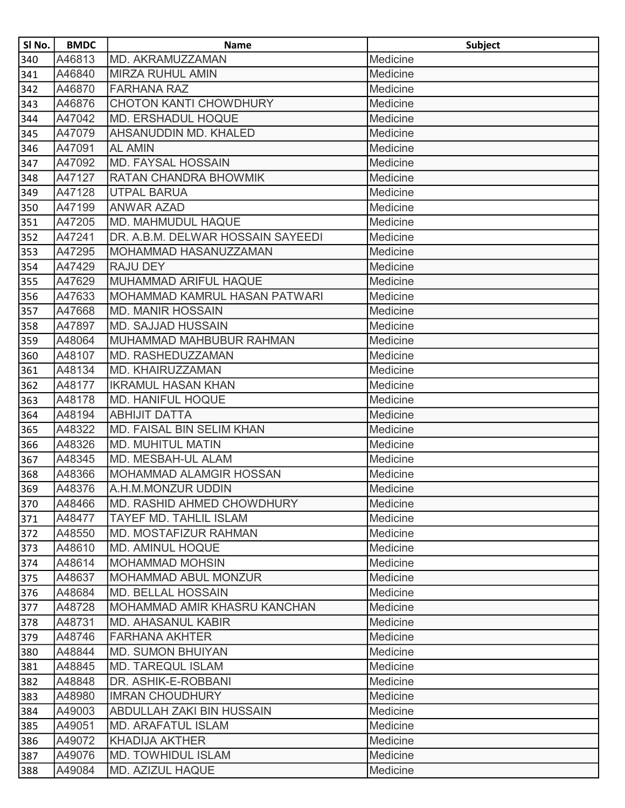| SI No. | <b>BMDC</b> | <b>Name</b>                          | <b>Subject</b> |
|--------|-------------|--------------------------------------|----------------|
| 340    | A46813      | MD. AKRAMUZZAMAN                     | Medicine       |
| 341    | A46840      | <b>MIRZA RUHUL AMIN</b>              | Medicine       |
| 342    | A46870      | <b>FARHANA RAZ</b>                   | Medicine       |
| 343    | A46876      | <b>CHOTON KANTI CHOWDHURY</b>        | Medicine       |
| 344    | A47042      | <b>MD. ERSHADUL HOQUE</b>            | Medicine       |
| 345    | A47079      | AHSANUDDIN MD. KHALED                | Medicine       |
| 346    | A47091      | <b>AL AMIN</b>                       | Medicine       |
| 347    | A47092      | <b>MD. FAYSAL HOSSAIN</b>            | Medicine       |
| 348    | A47127      | RATAN CHANDRA BHOWMIK                | Medicine       |
| 349    | A47128      | <b>UTPAL BARUA</b>                   | Medicine       |
| 350    | A47199      | <b>ANWAR AZAD</b>                    | Medicine       |
| 351    | A47205      | <b>MD. MAHMUDUL HAQUE</b>            | Medicine       |
| 352    | A47241      | DR. A.B.M. DELWAR HOSSAIN SAYEEDI    | Medicine       |
| 353    | A47295      | MOHAMMAD HASANUZZAMAN                | Medicine       |
| 354    | A47429      | <b>RAJU DEY</b>                      | Medicine       |
| 355    | A47629      | MUHAMMAD ARIFUL HAQUE                | Medicine       |
| 356    | A47633      | <b>MOHAMMAD KAMRUL HASAN PATWARI</b> | Medicine       |
| 357    | A47668      | <b>MD. MANIR HOSSAIN</b>             | Medicine       |
| 358    | A47897      | <b>MD. SAJJAD HUSSAIN</b>            | Medicine       |
| 359    | A48064      | MUHAMMAD MAHBUBUR RAHMAN             | Medicine       |
| 360    | A48107      | MD. RASHEDUZZAMAN                    | Medicine       |
| 361    | A48134      | MD. KHAIRUZZAMAN                     | Medicine       |
| 362    | A48177      | <b>IKRAMUL HASAN KHAN</b>            | Medicine       |
| 363    | A48178      | <b>MD. HANIFUL HOQUE</b>             | Medicine       |
| 364    | A48194      | <b>ABHIJIT DATTA</b>                 | Medicine       |
| 365    | A48322      | MD. FAISAL BIN SELIM KHAN            | Medicine       |
| 366    | A48326      | <b>MD. MUHITUL MATIN</b>             | Medicine       |
| 367    | A48345      | MD. MESBAH-UL ALAM                   | Medicine       |
| 368    | A48366      | <b>MOHAMMAD ALAMGIR HOSSAN</b>       | Medicine       |
| 369    | A48376      | A.H.M.MONZUR UDDIN                   | Medicine       |
| 370    | A48466      | MD. RASHID AHMED CHOWDHURY           | Medicine       |
| 371    | A48477      | TAYEF MD. TAHLIL ISLAM               | Medicine       |
| 372    | A48550      | MD. MOSTAFIZUR RAHMAN                | Medicine       |
| 373    | A48610      | <b>MD. AMINUL HOQUE</b>              | Medicine       |
| 374    | A48614      | <b>MOHAMMAD MOHSIN</b>               | Medicine       |
| 375    | A48637      | MOHAMMAD ABUL MONZUR                 | Medicine       |
| 376    | A48684      | <b>MD. BELLAL HOSSAIN</b>            | Medicine       |
| 377    | A48728      | MOHAMMAD AMIR KHASRU KANCHAN         | Medicine       |
| 378    | A48731      | <b>MD. AHASANUL KABIR</b>            | Medicine       |
| 379    | A48746      | <b>FARHANA AKHTER</b>                | Medicine       |
| 380    | A48844      | <b>MD. SUMON BHUIYAN</b>             | Medicine       |
| 381    | A48845      | <b>MD. TAREQUL ISLAM</b>             | Medicine       |
| 382    | A48848      | DR. ASHIK-E-ROBBANI                  | Medicine       |
| 383    | A48980      | <b>IMRAN CHOUDHURY</b>               | Medicine       |
| 384    | A49003      | ABDULLAH ZAKI BIN HUSSAIN            | Medicine       |
| 385    | A49051      | <b>MD. ARAFATUL ISLAM</b>            | Medicine       |
| 386    | A49072      | <b>KHADIJA AKTHER</b>                | Medicine       |
| 387    | A49076      | <b>MD. TOWHIDUL ISLAM</b>            | Medicine       |
| 388    | A49084      | <b>MD. AZIZUL HAQUE</b>              | Medicine       |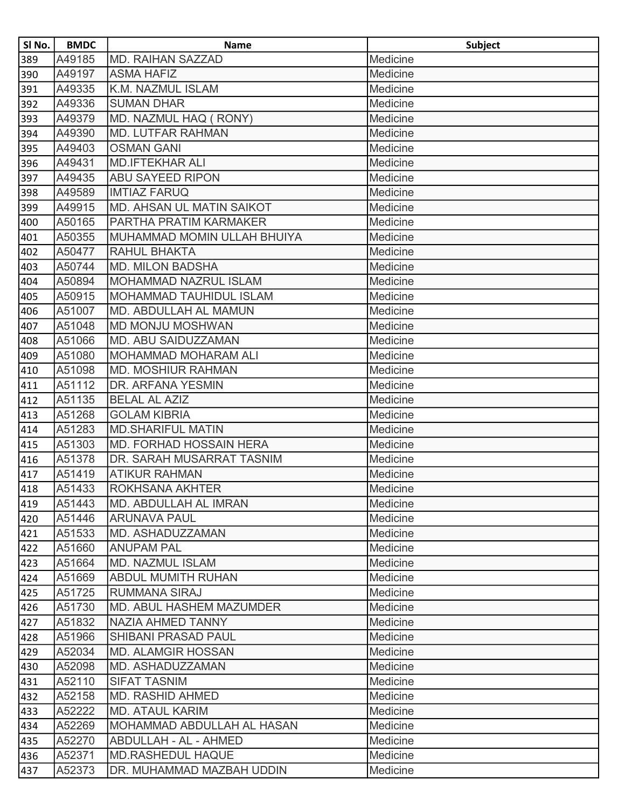| SI No. | <b>BMDC</b> | <b>Name</b>                     | <b>Subject</b> |
|--------|-------------|---------------------------------|----------------|
| 389    | A49185      | <b>MD. RAIHAN SAZZAD</b>        | Medicine       |
| 390    | A49197      | <b>ASMA HAFIZ</b>               | Medicine       |
| 391    | A49335      | K.M. NAZMUL ISLAM               | Medicine       |
| 392    | A49336      | <b>SUMAN DHAR</b>               | Medicine       |
| 393    | A49379      | MD. NAZMUL HAQ ( RONY)          | Medicine       |
| 394    | A49390      | <b>MD. LUTFAR RAHMAN</b>        | Medicine       |
| 395    | A49403      | <b>OSMAN GANI</b>               | Medicine       |
| 396    | A49431      | <b>MD.IFTEKHAR ALI</b>          | Medicine       |
| 397    | A49435      | <b>ABU SAYEED RIPON</b>         | Medicine       |
| 398    | A49589      | <b>IMTIAZ FARUQ</b>             | Medicine       |
| 399    | A49915      | MD. AHSAN UL MATIN SAIKOT       | Medicine       |
| 400    | A50165      | PARTHA PRATIM KARMAKER          | Medicine       |
| 401    | A50355      | MUHAMMAD MOMIN ULLAH BHUIYA     | Medicine       |
| 402    | A50477      | RAHUL BHAKTA                    | Medicine       |
| 403    | A50744      | <b>MD. MILON BADSHA</b>         | Medicine       |
| 404    | A50894      | <b>MOHAMMAD NAZRUL ISLAM</b>    | Medicine       |
| 405    | A50915      | <b>MOHAMMAD TAUHIDUL ISLAM</b>  | Medicine       |
| 406    | A51007      | MD. ABDULLAH AL MAMUN           | Medicine       |
| 407    | A51048      | <b>MD MONJU MOSHWAN</b>         | Medicine       |
| 408    | A51066      | MD. ABU SAIDUZZAMAN             | Medicine       |
| 409    | A51080      | <b>MOHAMMAD MOHARAM ALI</b>     | Medicine       |
| 410    | A51098      | <b>MD. MOSHIUR RAHMAN</b>       | Medicine       |
| 411    | A51112      | DR. ARFANA YESMIN               | Medicine       |
| 412    | A51135      | <b>BELAL AL AZIZ</b>            | Medicine       |
| 413    | A51268      | <b>GOLAM KIBRIA</b>             | Medicine       |
| 414    | A51283      | <b>MD.SHARIFUL MATIN</b>        | Medicine       |
| 415    | A51303      | <b>MD. FORHAD HOSSAIN HERA</b>  | Medicine       |
| 416    | A51378      | DR. SARAH MUSARRAT TASNIM       | Medicine       |
| 417    | A51419      | <b>ATIKUR RAHMAN</b>            | Medicine       |
| 418    | A51433      | ROKHSANA AKHTER                 | Medicine       |
| 419    | A51443      | MD. ABDULLAH AL IMRAN           | Medicine       |
| 420    | A51446      | <b>ARUNAVA PAUL</b>             | Medicine       |
| 421    | A51533      | MD. ASHADUZZAMAN                | Medicine       |
| 422    | A51660      | <b>ANUPAM PAL</b>               | Medicine       |
| 423    | A51664      | <b>MD. NAZMUL ISLAM</b>         | Medicine       |
| 424    | A51669      | <b>ABDUL MUMITH RUHAN</b>       | Medicine       |
| 425    | A51725      | <b>RUMMANA SIRAJ</b>            | Medicine       |
| 426    | A51730      | <b>MD. ABUL HASHEM MAZUMDER</b> | Medicine       |
| 427    | A51832      | <b>NAZIA AHMED TANNY</b>        | Medicine       |
| 428    | A51966      | <b>SHIBANI PRASAD PAUL</b>      | Medicine       |
| 429    | A52034      | <b>MD. ALAMGIR HOSSAN</b>       | Medicine       |
| 430    | A52098      | MD. ASHADUZZAMAN                | Medicine       |
| 431    | A52110      | <b>SIFAT TASNIM</b>             | Medicine       |
| 432    | A52158      | <b>MD. RASHID AHMED</b>         | Medicine       |
| 433    | A52222      | <b>MD. ATAUL KARIM</b>          | Medicine       |
| 434    | A52269      | MOHAMMAD ABDULLAH AL HASAN      | Medicine       |
| 435    | A52270      | <b>ABDULLAH - AL - AHMED</b>    | Medicine       |
| 436    | A52371      | <b>MD.RASHEDUL HAQUE</b>        | Medicine       |
| 437    | A52373      | DR. MUHAMMAD MAZBAH UDDIN       | Medicine       |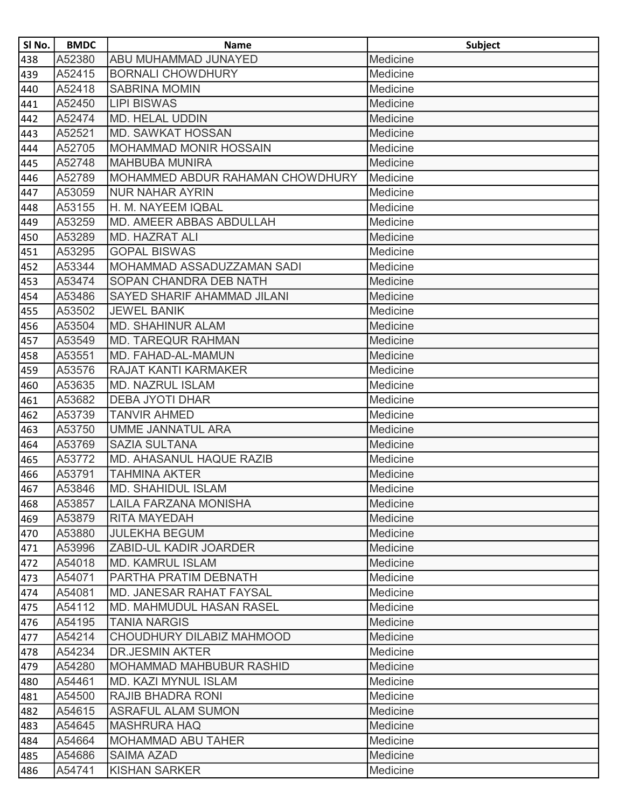| SI No. | <b>BMDC</b> | <b>Name</b>                       | <b>Subject</b> |
|--------|-------------|-----------------------------------|----------------|
| 438    | A52380      | ABU MUHAMMAD JUNAYED              | Medicine       |
| 439    | A52415      | <b>BORNALI CHOWDHURY</b>          | Medicine       |
| 440    | A52418      | <b>SABRINA MOMIN</b>              | Medicine       |
| 441    | A52450      | <b>LIPI BISWAS</b>                | Medicine       |
| 442    | A52474      | <b>MD. HELAL UDDIN</b>            | Medicine       |
| 443    | A52521      | <b>MD. SAWKAT HOSSAN</b>          | Medicine       |
| 444    | A52705      | MOHAMMAD MONIR HOSSAIN            | Medicine       |
| 445    | A52748      | <b>MAHBUBA MUNIRA</b>             | Medicine       |
| 446    | A52789      | MOHAMMED ABDUR RAHAMAN CHOWDHURY  | Medicine       |
| 447    | A53059      | <b>NUR NAHAR AYRIN</b>            | Medicine       |
| 448    | A53155      | H. M. NAYEEM IQBAL                | Medicine       |
| 449    | A53259      | MD. AMEER ABBAS ABDULLAH          | Medicine       |
| 450    | A53289      | <b>MD. HAZRAT ALI</b>             | Medicine       |
| 451    | A53295      | <b>GOPAL BISWAS</b>               | Medicine       |
| 452    | A53344      | <b>MOHAMMAD ASSADUZZAMAN SADI</b> | Medicine       |
| 453    | A53474      | SOPAN CHANDRA DEB NATH            | Medicine       |
| 454    | A53486      | SAYED SHARIF AHAMMAD JILANI       | Medicine       |
| 455    | A53502      | <b>JEWEL BANIK</b>                | Medicine       |
| 456    | A53504      | <b>MD. SHAHINUR ALAM</b>          | Medicine       |
| 457    | A53549      | <b>MD. TAREQUR RAHMAN</b>         | Medicine       |
| 458    | A53551      | MD. FAHAD-AL-MAMUN                | Medicine       |
| 459    | A53576      | <b>RAJAT KANTI KARMAKER</b>       | Medicine       |
| 460    | A53635      | <b>MD. NAZRUL ISLAM</b>           | Medicine       |
| 461    | A53682      | <b>DEBA JYOTI DHAR</b>            | Medicine       |
| 462    | A53739      | <b>TANVIR AHMED</b>               | Medicine       |
| 463    | A53750      | <b>UMME JANNATUL ARA</b>          | Medicine       |
| 464    | A53769      | <b>SAZIA SULTANA</b>              | Medicine       |
| 465    | A53772      | MD. AHASANUL HAQUE RAZIB          | Medicine       |
| 466    | A53791      | <b>TAHMINA AKTER</b>              | Medicine       |
| 467    | A53846      | <b>MD. SHAHIDUL ISLAM</b>         | Medicine       |
| 468    | A53857      | <b>LAILA FARZANA MONISHA</b>      | Medicine       |
| 469    | A53879      | <b>RITA MAYEDAH</b>               | Medicine       |
| 470    | A53880      | <b>JULEKHA BEGUM</b>              | Medicine       |
| 471    | A53996      | ZABID-UL KADIR JOARDER            | Medicine       |
| 472    | A54018      | <b>MD. KAMRUL ISLAM</b>           | Medicine       |
| 473    | A54071      | PARTHA PRATIM DEBNATH             | Medicine       |
| 474    | A54081      | MD. JANESAR RAHAT FAYSAL          | Medicine       |
| 475    | A54112      | <b>MD. MAHMUDUL HASAN RASEL</b>   | Medicine       |
| 476    | A54195      | <b>TANIA NARGIS</b>               | Medicine       |
| 477    | A54214      | CHOUDHURY DILABIZ MAHMOOD         | Medicine       |
| 478    | A54234      | <b>DR.JESMIN AKTER</b>            | Medicine       |
| 479    | A54280      | <b>MOHAMMAD MAHBUBUR RASHID</b>   | Medicine       |
| 480    | A54461      | <b>MD. KAZI MYNUL ISLAM</b>       | Medicine       |
| 481    | A54500      | <b>RAJIB BHADRA RONI</b>          | Medicine       |
| 482    | A54615      | <b>ASRAFUL ALAM SUMON</b>         | Medicine       |
| 483    | A54645      | <b>MASHRURA HAQ</b>               | Medicine       |
| 484    | A54664      | <b>MOHAMMAD ABU TAHER</b>         | Medicine       |
| 485    | A54686      | <b>SAIMA AZAD</b>                 | Medicine       |
| 486    | A54741      | <b>KISHAN SARKER</b>              | Medicine       |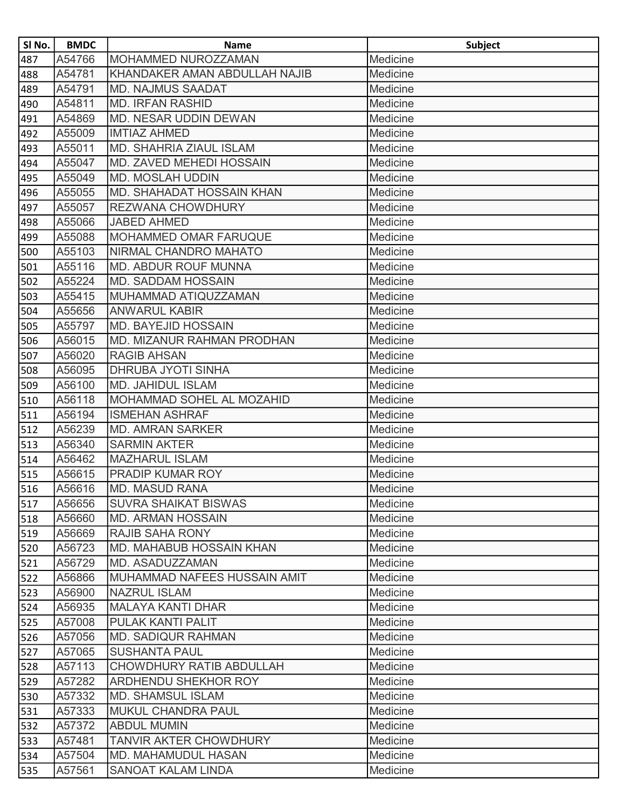| SI No. | <b>BMDC</b> | <b>Name</b>                     | <b>Subject</b> |
|--------|-------------|---------------------------------|----------------|
| 487    | A54766      | MOHAMMED NUROZZAMAN             | Medicine       |
| 488    | A54781      | KHANDAKER AMAN ABDULLAH NAJIB   | Medicine       |
| 489    | A54791      | <b>MD. NAJMUS SAADAT</b>        | Medicine       |
| 490    | A54811      | <b>MD. IRFAN RASHID</b>         | Medicine       |
| 491    | A54869      | MD. NESAR UDDIN DEWAN           | Medicine       |
| 492    | A55009      | <b>IMTIAZ AHMED</b>             | Medicine       |
| 493    | A55011      | MD. SHAHRIA ZIAUL ISLAM         | Medicine       |
| 494    | A55047      | MD. ZAVED MEHEDI HOSSAIN        | Medicine       |
| 495    | A55049      | <b>MD. MOSLAH UDDIN</b>         | Medicine       |
| 496    | A55055      | MD. SHAHADAT HOSSAIN KHAN       | Medicine       |
| 497    | A55057      | <b>REZWANA CHOWDHURY</b>        | Medicine       |
| 498    | A55066      | <b>JABED AHMED</b>              | Medicine       |
| 499    | A55088      | <b>MOHAMMED OMAR FARUQUE</b>    | Medicine       |
| 500    | A55103      | NIRMAL CHANDRO MAHATO           | Medicine       |
| 501    | A55116      | MD. ABDUR ROUF MUNNA            | Medicine       |
| 502    | A55224      | <b>MD. SADDAM HOSSAIN</b>       | Medicine       |
| 503    | A55415      | MUHAMMAD ATIQUZZAMAN            | Medicine       |
| 504    | A55656      | <b>ANWARUL KABIR</b>            | Medicine       |
| 505    | A55797      | <b>MD. BAYEJID HOSSAIN</b>      | Medicine       |
| 506    | A56015      | MD. MIZANUR RAHMAN PRODHAN      | Medicine       |
| 507    | A56020      | <b>RAGIB AHSAN</b>              | Medicine       |
| 508    | A56095      | DHRUBA JYOTI SINHA              | Medicine       |
| 509    | A56100      | <b>MD. JAHIDUL ISLAM</b>        | Medicine       |
| 510    | A56118      | MOHAMMAD SOHEL AL MOZAHID       | Medicine       |
| 511    | A56194      | <b>ISMEHAN ASHRAF</b>           | Medicine       |
| 512    | A56239      | <b>MD. AMRAN SARKER</b>         | Medicine       |
| 513    | A56340      | <b>SARMIN AKTER</b>             | Medicine       |
| 514    | A56462      | <b>MAZHARUL ISLAM</b>           | Medicine       |
| 515    | A56615      | PRADIP KUMAR ROY                | Medicine       |
| 516    | A56616      | <b>MD. MASUD RANA</b>           | Medicine       |
| 517    | A56656      | <b>SUVRA SHAIKAT BISWAS</b>     | Medicine       |
| 518    | A56660      | <b>MD. ARMAN HOSSAIN</b>        | Medicine       |
| 519    | A56669      | <b>RAJIB SAHA RONY</b>          | Medicine       |
| 520    | A56723      | <b>MD. MAHABUB HOSSAIN KHAN</b> | Medicine       |
| 521    | A56729      | MD. ASADUZZAMAN                 | Medicine       |
| 522    | A56866      | MUHAMMAD NAFEES HUSSAIN AMIT    | Medicine       |
| 523    | A56900      | <b>NAZRUL ISLAM</b>             | Medicine       |
| 524    | A56935      | <b>MALAYA KANTI DHAR</b>        | Medicine       |
| 525    | A57008      | <b>PULAK KANTI PALIT</b>        | Medicine       |
| 526    | A57056      | <b>MD. SADIQUR RAHMAN</b>       | Medicine       |
| 527    | A57065      | <b>SUSHANTA PAUL</b>            | Medicine       |
| 528    | A57113      | <b>CHOWDHURY RATIB ABDULLAH</b> | Medicine       |
| 529    | A57282      | ARDHENDU SHEKHOR ROY            | Medicine       |
| 530    | A57332      | <b>MD. SHAMSUL ISLAM</b>        | Medicine       |
| 531    | A57333      | <b>MUKUL CHANDRA PAUL</b>       | Medicine       |
| 532    | A57372      | <b>ABDUL MUMIN</b>              | Medicine       |
| 533    | A57481      | TANVIR AKTER CHOWDHURY          | Medicine       |
| 534    | A57504      | MD. MAHAMUDUL HASAN             | Medicine       |
| 535    | A57561      | <b>SANOAT KALAM LINDA</b>       | Medicine       |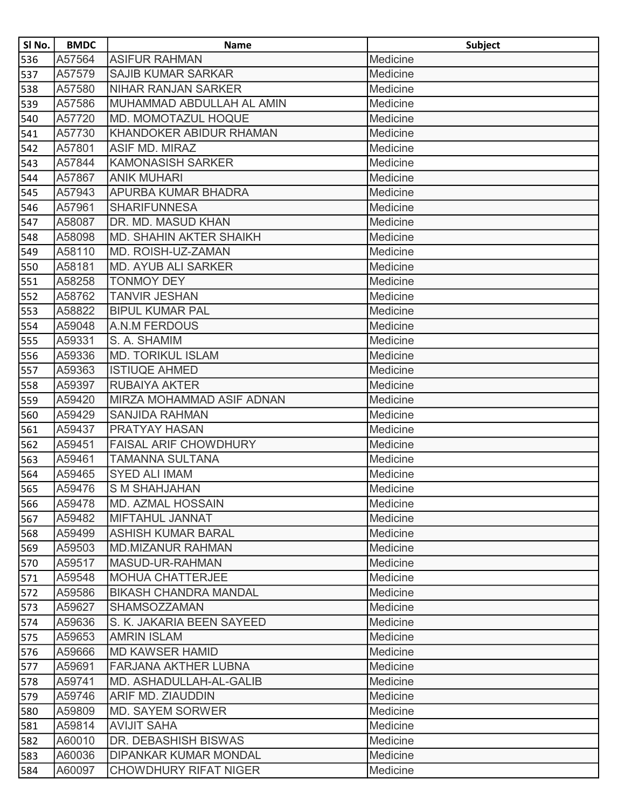| SI No. | <b>BMDC</b> | <b>Name</b>                    | Subject  |
|--------|-------------|--------------------------------|----------|
| 536    | A57564      | <b>ASIFUR RAHMAN</b>           | Medicine |
| 537    | A57579      | <b>SAJIB KUMAR SARKAR</b>      | Medicine |
| 538    | A57580      | <b>NIHAR RANJAN SARKER</b>     | Medicine |
| 539    | A57586      | MUHAMMAD ABDULLAH AL AMIN      | Medicine |
| 540    | A57720      | <b>MD. MOMOTAZUL HOQUE</b>     | Medicine |
| 541    | A57730      | <b>KHANDOKER ABIDUR RHAMAN</b> | Medicine |
| 542    | A57801      | ASIF MD. MIRAZ                 | Medicine |
| 543    | A57844      | <b>KAMONASISH SARKER</b>       | Medicine |
| 544    | A57867      | <b>ANIK MUHARI</b>             | Medicine |
| 545    | A57943      | APURBA KUMAR BHADRA            | Medicine |
| 546    | A57961      | <b>SHARIFUNNESA</b>            | Medicine |
| 547    | A58087      | DR. MD. MASUD KHAN             | Medicine |
| 548    | A58098      | <b>MD. SHAHIN AKTER SHAIKH</b> | Medicine |
| 549    | A58110      | MD. ROISH-UZ-ZAMAN             | Medicine |
| 550    | A58181      | <b>MD. AYUB ALI SARKER</b>     | Medicine |
| 551    | A58258      | <b>TONMOY DEY</b>              | Medicine |
| 552    | A58762      | <b>TANVIR JESHAN</b>           | Medicine |
| 553    | A58822      | <b>BIPUL KUMAR PAL</b>         | Medicine |
| 554    | A59048      | <b>A.N.M FERDOUS</b>           | Medicine |
| 555    | A59331      | S. A. SHAMIM                   | Medicine |
| 556    | A59336      | <b>MD. TORIKUL ISLAM</b>       | Medicine |
| 557    | A59363      | <b>ISTIUQE AHMED</b>           | Medicine |
| 558    | A59397      | <b>RUBAIYA AKTER</b>           | Medicine |
| 559    | A59420      | MIRZA MOHAMMAD ASIF ADNAN      | Medicine |
| 560    | A59429      | <b>SANJIDA RAHMAN</b>          | Medicine |
| 561    | A59437      | PRATYAY HASAN                  | Medicine |
| 562    | A59451      | <b>FAISAL ARIF CHOWDHURY</b>   | Medicine |
| 563    | A59461      | <b>TAMANNA SULTANA</b>         | Medicine |
| 564    | A59465      | <b>SYED ALI IMAM</b>           | Medicine |
| 565    | A59476      | <b>S M SHAHJAHAN</b>           | Medicine |
| 566    | A59478      | <b>MD. AZMAL HOSSAIN</b>       | Medicine |
| 567    | A59482      | <b>MIFTAHUL JANNAT</b>         | Medicine |
| 568    | A59499      | <b>ASHISH KUMAR BARAL</b>      | Medicine |
| 569    | A59503      | <b>MD.MIZANUR RAHMAN</b>       | Medicine |
| 570    | A59517      | MASUD-UR-RAHMAN                | Medicine |
| 571    | A59548      | <b>MOHUA CHATTERJEE</b>        | Medicine |
| 572    | A59586      | <b>BIKASH CHANDRA MANDAL</b>   | Medicine |
| 573    | A59627      | <b>SHAMSOZZAMAN</b>            | Medicine |
| 574    | A59636      | S. K. JAKARIA BEEN SAYEED      | Medicine |
| 575    | A59653      | <b>AMRIN ISLAM</b>             | Medicine |
| 576    | A59666      | <b>MD KAWSER HAMID</b>         | Medicine |
| 577    | A59691      | FARJANA AKTHER LUBNA           | Medicine |
| 578    | A59741      | MD. ASHADULLAH-AL-GALIB        | Medicine |
| 579    | A59746      | <b>ARIF MD. ZIAUDDIN</b>       | Medicine |
| 580    | A59809      | <b>MD. SAYEM SORWER</b>        | Medicine |
| 581    | A59814      | <b>AVIJIT SAHA</b>             | Medicine |
| 582    | A60010      | DR. DEBASHISH BISWAS           | Medicine |
| 583    | A60036      | <b>DIPANKAR KUMAR MONDAL</b>   | Medicine |
| 584    | A60097      | <b>CHOWDHURY RIFAT NIGER</b>   | Medicine |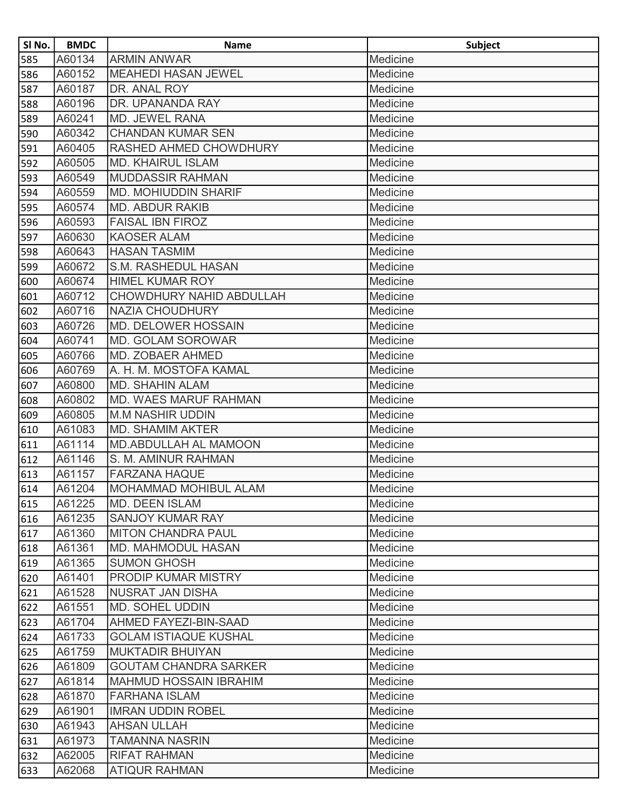| SI No. | <b>BMDC</b> | <b>Name</b>                  | <b>Subject</b> |
|--------|-------------|------------------------------|----------------|
| 585    | A60134      | <b>ARMIN ANWAR</b>           | Medicine       |
| 586    | A60152      | <b>MEAHEDI HASAN JEWEL</b>   | Medicine       |
| 587    | A60187      | DR. ANAL ROY                 | Medicine       |
| 588    | A60196      | DR. UPANANDA RAY             | Medicine       |
| 589    | A60241      | MD. JEWEL RANA               | Medicine       |
| 590    | A60342      | <b>CHANDAN KUMAR SEN</b>     | Medicine       |
| 591    | A60405      | RASHED AHMED CHOWDHURY       | Medicine       |
| 592    | A60505      | <b>MD. KHAIRUL ISLAM</b>     | Medicine       |
| 593    | A60549      | <b>MUDDASSIR RAHMAN</b>      | Medicine       |
| 594    | A60559      | <b>MD. MOHIUDDIN SHARIF</b>  | Medicine       |
| 595    | A60574      | <b>MD. ABDUR RAKIB</b>       | Medicine       |
| 596    | A60593      | <b>FAISAL IBN FIROZ</b>      | Medicine       |
| 597    | A60630      | <b>KAOSER ALAM</b>           | Medicine       |
| 598    | A60643      | <b>HASAN TASMIM</b>          | Medicine       |
| 599    | A60672      | S.M. RASHEDUL HASAN          | Medicine       |
| 600    | A60674      | <b>HIMEL KUMAR ROY</b>       | Medicine       |
| 601    | A60712      | CHOWDHURY NAHID ABDULLAH     | Medicine       |
| 602    | A60716      | <b>NAZIA CHOUDHURY</b>       | Medicine       |
| 603    | A60726      | <b>MD. DELOWER HOSSAIN</b>   | Medicine       |
| 604    | A60741      | <b>MD. GOLAM SOROWAR</b>     | Medicine       |
| 605    | A60766      | MD. ZOBAER AHMED             | Medicine       |
| 606    | A60769      | A. H. M. MOSTOFA KAMAL       | Medicine       |
| 607    | A60800      | <b>MD. SHAHIN ALAM</b>       | Medicine       |
| 608    | A60802      | MD. WAES MARUF RAHMAN        | Medicine       |
| 609    | A60805      | <b>M.M NASHIR UDDIN</b>      | Medicine       |
| 610    | A61083      | <b>MD. SHAMIM AKTER</b>      | Medicine       |
| 611    | A61114      | <b>MD.ABDULLAH AL MAMOON</b> | Medicine       |
| 612    | A61146      | S. M. AMINUR RAHMAN          | Medicine       |
| 613    | A61157      | <b>FARZANA HAQUE</b>         | Medicine       |
| 614    | A61204      | <b>MOHAMMAD MOHIBUL ALAM</b> | Medicine       |
| 615    | A61225      | <b>MD. DEEN ISLAM</b>        | Medicine       |
| 616    | A61235      | <b>SANJOY KUMAR RAY</b>      | Medicine       |
| 617    | A61360      | <b>MITON CHANDRA PAUL</b>    | Medicine       |
| 618    | A61361      | <b>MD. MAHMODUL HASAN</b>    | Medicine       |
| 619    | A61365      | <b>SUMON GHOSH</b>           | Medicine       |
| 620    | A61401      | <b>PRODIP KUMAR MISTRY</b>   | Medicine       |
| 621    | A61528      | <b>NUSRAT JAN DISHA</b>      | Medicine       |
| 622    | A61551      | <b>MD. SOHEL UDDIN</b>       | Medicine       |
| 623    | A61704      | <b>AHMED FAYEZI-BIN-SAAD</b> | Medicine       |
| 624    | A61733      | <b>GOLAM ISTIAQUE KUSHAL</b> | Medicine       |
| 625    | A61759      | <b>MUKTADIR BHUIYAN</b>      | Medicine       |
| 626    | A61809      | <b>GOUTAM CHANDRA SARKER</b> | Medicine       |
| 627    | A61814      | MAHMUD HOSSAIN IBRAHIM       | Medicine       |
| 628    | A61870      | <b>FARHANA ISLAM</b>         | Medicine       |
| 629    | A61901      | <b>IMRAN UDDIN ROBEL</b>     | Medicine       |
| 630    | A61943      | <b>AHSAN ULLAH</b>           | Medicine       |
| 631    | A61973      | <b>TAMANNA NASRIN</b>        | Medicine       |
| 632    | A62005      | <b>RIFAT RAHMAN</b>          | Medicine       |
| 633    | A62068      | <b>ATIQUR RAHMAN</b>         | Medicine       |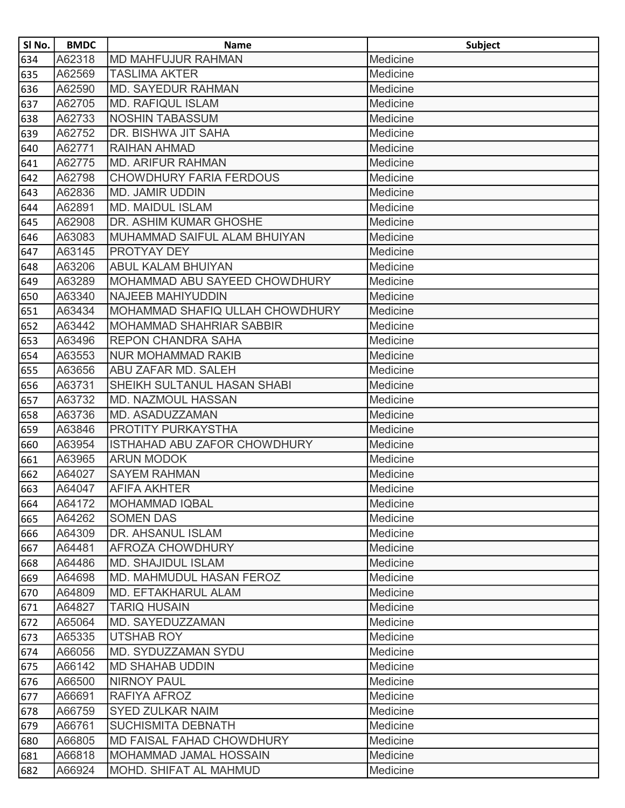| SI No. | <b>BMDC</b> | <b>Name</b>                     | <b>Subject</b> |
|--------|-------------|---------------------------------|----------------|
| 634    | A62318      | <b>MD MAHFUJUR RAHMAN</b>       | Medicine       |
| 635    | A62569      | <b>TASLIMA AKTER</b>            | Medicine       |
| 636    | A62590      | <b>MD. SAYEDUR RAHMAN</b>       | Medicine       |
| 637    | A62705      | <b>MD. RAFIQUL ISLAM</b>        | Medicine       |
| 638    | A62733      | <b>NOSHIN TABASSUM</b>          | Medicine       |
| 639    | A62752      | DR. BISHWA JIT SAHA             | Medicine       |
| 640    | A62771      | RAIHAN AHMAD                    | Medicine       |
| 641    | A62775      | <b>MD. ARIFUR RAHMAN</b>        | Medicine       |
| 642    | A62798      | <b>CHOWDHURY FARIA FERDOUS</b>  | Medicine       |
| 643    | A62836      | <b>MD. JAMIR UDDIN</b>          | Medicine       |
| 644    | A62891      | <b>MD. MAIDUL ISLAM</b>         | Medicine       |
| 645    | A62908      | DR. ASHIM KUMAR GHOSHE          | Medicine       |
| 646    | A63083      | MUHAMMAD SAIFUL ALAM BHUIYAN    | Medicine       |
| 647    | A63145      | PROTYAY DEY                     | Medicine       |
| 648    | A63206      | ABUL KALAM BHUIYAN              | Medicine       |
| 649    | A63289      | MOHAMMAD ABU SAYEED CHOWDHURY   | Medicine       |
| 650    | A63340      | <b>NAJEEB MAHIYUDDIN</b>        | Medicine       |
| 651    | A63434      | MOHAMMAD SHAFIQ ULLAH CHOWDHURY | Medicine       |
| 652    | A63442      | <b>MOHAMMAD SHAHRIAR SABBIR</b> | Medicine       |
| 653    | A63496      | <b>REPON CHANDRA SAHA</b>       | Medicine       |
| 654    | A63553      | <b>NUR MOHAMMAD RAKIB</b>       | Medicine       |
| 655    | A63656      | ABU ZAFAR MD. SALEH             | Medicine       |
| 656    | A63731      | SHEIKH SULTANUL HASAN SHABI     | Medicine       |
| 657    | A63732      | <b>MD. NAZMOUL HASSAN</b>       | Medicine       |
| 658    | A63736      | MD. ASADUZZAMAN                 | Medicine       |
| 659    | A63846      | PROTITY PURKAYSTHA              | Medicine       |
| 660    | A63954      | ISTHAHAD ABU ZAFOR CHOWDHURY    | Medicine       |
| 661    | A63965      | <b>ARUN MODOK</b>               | Medicine       |
| 662    | A64027      | <b>SAYEM RAHMAN</b>             | Medicine       |
| 663    | A64047      | <b>AFIFA AKHTER</b>             | Medicine       |
| 664    | A64172      | <b>MOHAMMAD IQBAL</b>           | Medicine       |
| 665    | A64262      | <b>SOMEN DAS</b>                | Medicine       |
| 666    | A64309      | DR. AHSANUL ISLAM               | Medicine       |
| 667    | A64481      | AFROZA CHOWDHURY                | Medicine       |
| 668    | A64486      | <b>MD. SHAJIDUL ISLAM</b>       | Medicine       |
| 669    | A64698      | MD. MAHMUDUL HASAN FEROZ        | Medicine       |
| 670    | A64809      | <b>MD. EFTAKHARUL ALAM</b>      | Medicine       |
| 671    | A64827      | <b>TARIQ HUSAIN</b>             | Medicine       |
| 672    | A65064      | MD. SAYEDUZZAMAN                | Medicine       |
| 673    | A65335      | <b>UTSHAB ROY</b>               | Medicine       |
| 674    | A66056      | MD. SYDUZZAMAN SYDU             | Medicine       |
| 675    | A66142      | <b>MD SHAHAB UDDIN</b>          | Medicine       |
| 676    | A66500      | <b>NIRNOY PAUL</b>              | Medicine       |
| 677    | A66691      | RAFIYA AFROZ                    | Medicine       |
| 678    | A66759      | <b>SYED ZULKAR NAIM</b>         | Medicine       |
| 679    | A66761      | <b>SUCHISMITA DEBNATH</b>       | Medicine       |
| 680    | A66805      | MD FAISAL FAHAD CHOWDHURY       | Medicine       |
| 681    | A66818      | <b>MOHAMMAD JAMAL HOSSAIN</b>   | Medicine       |
| 682    | A66924      | MOHD. SHIFAT AL MAHMUD          | Medicine       |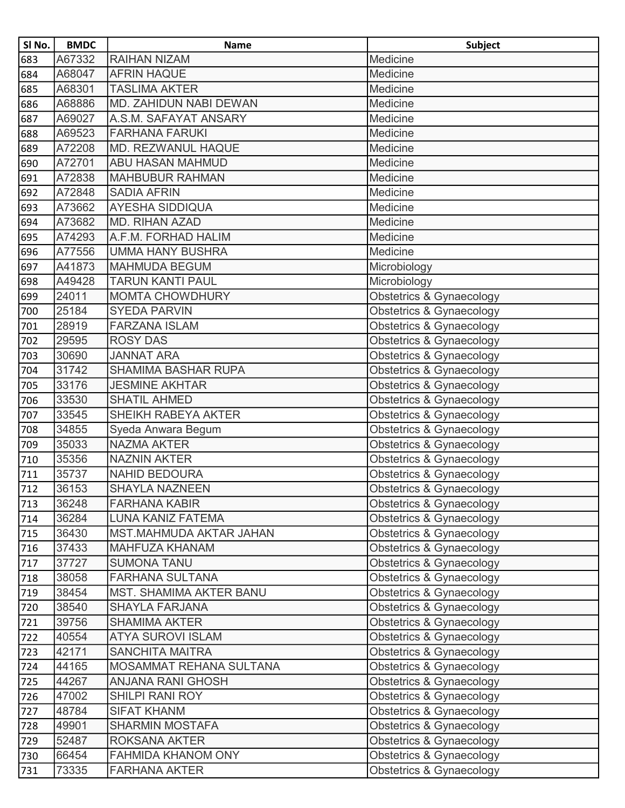| SI No.           | <b>BMDC</b> | <b>Name</b>                    | <b>Subject</b>                      |
|------------------|-------------|--------------------------------|-------------------------------------|
| 683              | A67332      | <b>RAIHAN NIZAM</b>            | Medicine                            |
| 684              | A68047      | <b>AFRIN HAQUE</b>             | Medicine                            |
| 685              | A68301      | <b>TASLIMA AKTER</b>           | Medicine                            |
| 686              | A68886      | MD. ZAHIDUN NABI DEWAN         | Medicine                            |
| 687              | A69027      | A.S.M. SAFAYAT ANSARY          | Medicine                            |
| 688              | A69523      | <b>FARHANA FARUKI</b>          | Medicine                            |
| 689              | A72208      | MD. REZWANUL HAQUE             | Medicine                            |
| 690              | A72701      | <b>ABU HASAN MAHMUD</b>        | Medicine                            |
| 691              | A72838      | <b>MAHBUBUR RAHMAN</b>         | Medicine                            |
| 692              | A72848      | <b>SADIA AFRIN</b>             | Medicine                            |
| 693              | A73662      | <b>AYESHA SIDDIQUA</b>         | Medicine                            |
| 694              | A73682      | MD. RIHAN AZAD                 | Medicine                            |
| 695              | A74293      | A.F.M. FORHAD HALIM            | Medicine                            |
| 696              | A77556      | <b>UMMA HANY BUSHRA</b>        | Medicine                            |
| 697              | A41873      | <b>MAHMUDA BEGUM</b>           | Microbiology                        |
| 698              | A49428      | <b>TARUN KANTI PAUL</b>        | Microbiology                        |
| 699              | 24011       | <b>MOMTA CHOWDHURY</b>         | Obstetrics & Gynaecology            |
| 700              | 25184       | <b>SYEDA PARVIN</b>            | Obstetrics & Gynaecology            |
| $\frac{1}{701}$  | 28919       | <b>FARZANA ISLAM</b>           | Obstetrics & Gynaecology            |
| 702              | 29595       | <b>ROSY DAS</b>                | Obstetrics & Gynaecology            |
| 703              | 30690       | <b>JANNAT ARA</b>              | Obstetrics & Gynaecology            |
| 704              | 31742       | <b>SHAMIMA BASHAR RUPA</b>     | Obstetrics & Gynaecology            |
| 705              | 33176       | <b>JESMINE AKHTAR</b>          | Obstetrics & Gynaecology            |
| 706              | 33530       | <b>SHATIL AHMED</b>            | <b>Obstetrics &amp; Gynaecology</b> |
| 707              | 33545       | SHEIKH RABEYA AKTER            | Obstetrics & Gynaecology            |
| $\sqrt{708}$     | 34855       | Syeda Anwara Begum             | Obstetrics & Gynaecology            |
| 709              | 35033       | <b>NAZMA AKTER</b>             | Obstetrics & Gynaecology            |
| 710              | 35356       | <b>NAZNIN AKTER</b>            | Obstetrics & Gynaecology            |
| 711              | 35737       | <b>NAHID BEDOURA</b>           | Obstetrics & Gynaecology            |
| $712$            | 36153       | <b>SHAYLA NAZNEEN</b>          | Obstetrics & Gynaecology            |
| 713              | 36248       | <b>FARHANA KABIR</b>           | Obstetrics & Gynaecology            |
| 714              | 36284       | LUNA KANIZ FATEMA              | Obstetrics & Gynaecology            |
| 715              | 36430       | <b>MST.MAHMUDA AKTAR JAHAN</b> | Obstetrics & Gynaecology            |
| 716              | 37433       | <b>MAHFUZA KHANAM</b>          | Obstetrics & Gynaecology            |
| 717              | 37727       | <b>SUMONA TANU</b>             | Obstetrics & Gynaecology            |
| 718              | 38058       | <b>FARHANA SULTANA</b>         | Obstetrics & Gynaecology            |
| 719              | 38454       | <b>MST. SHAMIMA AKTER BANU</b> | Obstetrics & Gynaecology            |
| $\overline{720}$ | 38540       | <b>SHAYLA FARJANA</b>          | Obstetrics & Gynaecology            |
| 721              | 39756       | <b>SHAMIMA AKTER</b>           | Obstetrics & Gynaecology            |
| 722              | 40554       | <b>ATYA SUROVI ISLAM</b>       | Obstetrics & Gynaecology            |
| 723              | 42171       | <b>SANCHITA MAITRA</b>         | Obstetrics & Gynaecology            |
| 724              | 44165       | MOSAMMAT REHANA SULTANA        | Obstetrics & Gynaecology            |
| 725              | 44267       | <b>ANJANA RANI GHOSH</b>       | Obstetrics & Gynaecology            |
| 726              | 47002       | <b>SHILPI RANI ROY</b>         | Obstetrics & Gynaecology            |
| 727              | 48784       | <b>SIFAT KHANM</b>             | Obstetrics & Gynaecology            |
| 728              | 49901       | <b>SHARMIN MOSTAFA</b>         | Obstetrics & Gynaecology            |
| 729              | 52487       | <b>ROKSANA AKTER</b>           | Obstetrics & Gynaecology            |
| 730              | 66454       | FAHMIDA KHANOM ONY             | Obstetrics & Gynaecology            |
| 731              | 73335       | <b>FARHANA AKTER</b>           | Obstetrics & Gynaecology            |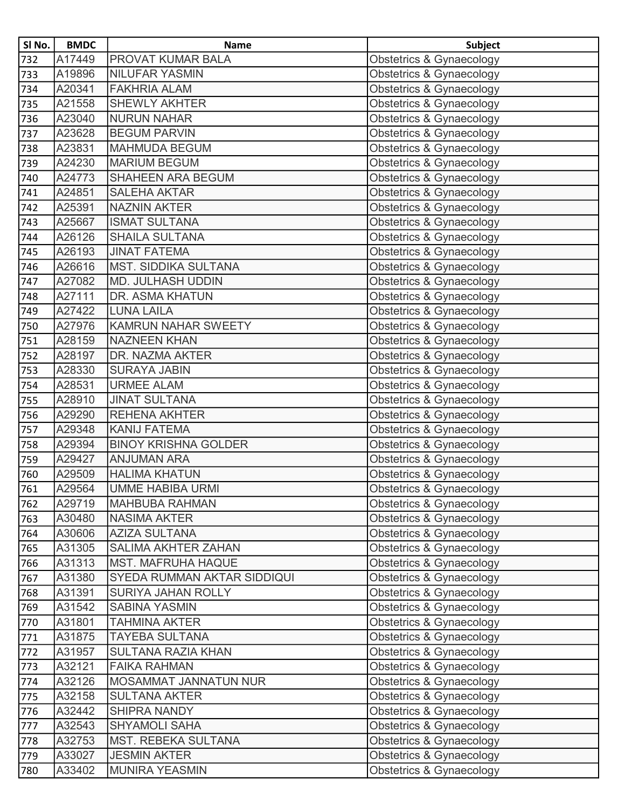| SI No. | <b>BMDC</b> | <b>Name</b>                  | <b>Subject</b>                      |
|--------|-------------|------------------------------|-------------------------------------|
| 732    | A17449      | <b>PROVAT KUMAR BALA</b>     | <b>Obstetrics &amp; Gynaecology</b> |
| 733    | A19896      | <b>NILUFAR YASMIN</b>        | <b>Obstetrics &amp; Gynaecology</b> |
| 734    | A20341      | <b>FAKHRIA ALAM</b>          | <b>Obstetrics &amp; Gynaecology</b> |
| 735    | A21558      | <b>SHEWLY AKHTER</b>         | <b>Obstetrics &amp; Gynaecology</b> |
| 736    | A23040      | <b>NURUN NAHAR</b>           | Obstetrics & Gynaecology            |
| 737    | A23628      | <b>BEGUM PARVIN</b>          | Obstetrics & Gynaecology            |
| 738    | A23831      | <b>MAHMUDA BEGUM</b>         | <b>Obstetrics &amp; Gynaecology</b> |
| 739    | A24230      | <b>MARIUM BEGUM</b>          | Obstetrics & Gynaecology            |
| 740    | A24773      | SHAHEEN ARA BEGUM            | <b>Obstetrics &amp; Gynaecology</b> |
| 741    | A24851      | <b>SALEHA AKTAR</b>          | Obstetrics & Gynaecology            |
| 742    | A25391      | <b>NAZNIN AKTER</b>          | Obstetrics & Gynaecology            |
| 743    | A25667      | <b>ISMAT SULTANA</b>         | Obstetrics & Gynaecology            |
| 744    | A26126      | <b>SHAILA SULTANA</b>        | <b>Obstetrics &amp; Gynaecology</b> |
| 745    | A26193      | <b>JINAT FATEMA</b>          | <b>Obstetrics &amp; Gynaecology</b> |
| 746    | A26616      | <b>MST. SIDDIKA SULTANA</b>  | <b>Obstetrics &amp; Gynaecology</b> |
| 747    | A27082      | <b>MD. JULHASH UDDIN</b>     | <b>Obstetrics &amp; Gynaecology</b> |
| 748    | A27111      | DR. ASMA KHATUN              | <b>Obstetrics &amp; Gynaecology</b> |
| 749    | A27422      | <b>LUNA LAILA</b>            | Obstetrics & Gynaecology            |
| 750    | A27976      | <b>KAMRUN NAHAR SWEETY</b>   | Obstetrics & Gynaecology            |
| 751    | A28159      | <b>NAZNEEN KHAN</b>          | Obstetrics & Gynaecology            |
| 752    | A28197      | <b>DR. NAZMA AKTER</b>       | Obstetrics & Gynaecology            |
| 753    | A28330      | <b>SURAYA JABIN</b>          | <b>Obstetrics &amp; Gynaecology</b> |
| 754    | A28531      | <b>URMEE ALAM</b>            | Obstetrics & Gynaecology            |
| 755    | A28910      | <b>JINAT SULTANA</b>         | <b>Obstetrics &amp; Gynaecology</b> |
| 756    | A29290      | <b>REHENA AKHTER</b>         | <b>Obstetrics &amp; Gynaecology</b> |
| 757    | A29348      | <b>KANIJ FATEMA</b>          | <b>Obstetrics &amp; Gynaecology</b> |
| 758    | A29394      | <b>BINOY KRISHNA GOLDER</b>  | Obstetrics & Gynaecology            |
| 759    | A29427      | <b>ANJUMAN ARA</b>           | <b>Obstetrics &amp; Gynaecology</b> |
| 760    | A29509      | <b>HALIMA KHATUN</b>         | Obstetrics & Gynaecology            |
| 761    | A29564      | <b>UMME HABIBA URMI</b>      | Obstetrics & Gynaecology            |
| 762    | A29719      | <b>MAHBUBA RAHMAN</b>        | Obstetrics & Gynaecology            |
| 763    | A30480      | <b>NASIMA AKTER</b>          | <b>Obstetrics &amp; Gynaecology</b> |
| 764    | A30606      | <b>AZIZA SULTANA</b>         | <b>Obstetrics &amp; Gynaecology</b> |
| 765    | A31305      | <b>SALIMA AKHTER ZAHAN</b>   | Obstetrics & Gynaecology            |
| 766    | A31313      | <b>MST. MAFRUHA HAQUE</b>    | Obstetrics & Gynaecology            |
| 767    | A31380      | SYEDA RUMMAN AKTAR SIDDIQUI  | Obstetrics & Gynaecology            |
| 768    | A31391      | SURIYA JAHAN ROLLY           | <b>Obstetrics &amp; Gynaecology</b> |
| 769    | A31542      | <b>SABINA YASMIN</b>         | Obstetrics & Gynaecology            |
| 770    | A31801      | <b>TAHMINA AKTER</b>         | <b>Obstetrics &amp; Gynaecology</b> |
| 771    | A31875      | <b>TAYEBA SULTANA</b>        | Obstetrics & Gynaecology            |
| 772    | A31957      | <b>SULTANA RAZIA KHAN</b>    | Obstetrics & Gynaecology            |
| 773    | A32121      | <b>FAIKA RAHMAN</b>          | <b>Obstetrics &amp; Gynaecology</b> |
| 774    | A32126      | <b>MOSAMMAT JANNATUN NUR</b> | <b>Obstetrics &amp; Gynaecology</b> |
| 775    | A32158      | <b>SULTANA AKTER</b>         | Obstetrics & Gynaecology            |
| 776    | A32442      | SHIPRA NANDY                 | <b>Obstetrics &amp; Gynaecology</b> |
| 777    | A32543      | <b>SHYAMOLI SAHA</b>         | <b>Obstetrics &amp; Gynaecology</b> |
| 778    | A32753      | <b>MST. REBEKA SULTANA</b>   | Obstetrics & Gynaecology            |
| 779    | A33027      | <b>JESMIN AKTER</b>          | Obstetrics & Gynaecology            |
| 780    | A33402      | <b>MUNIRA YEASMIN</b>        | Obstetrics & Gynaecology            |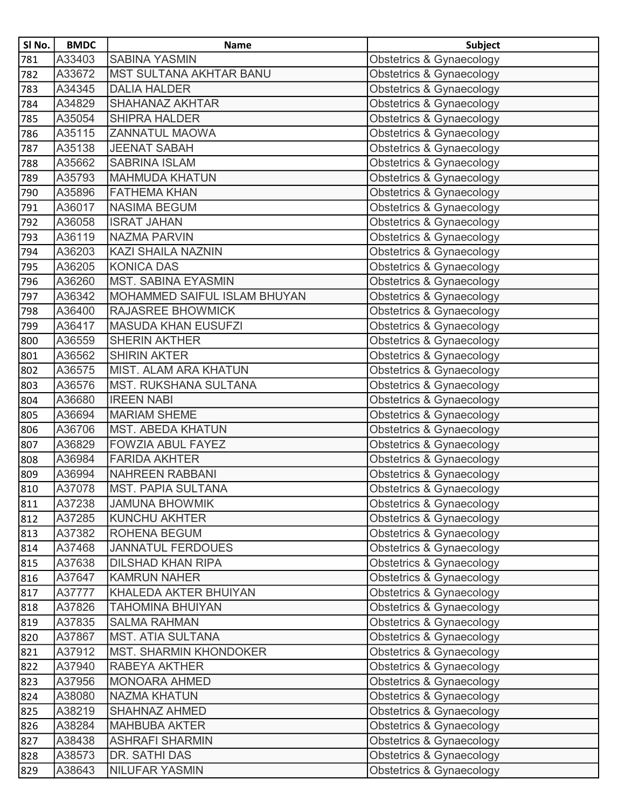| SI No. | <b>BMDC</b> | <b>Name</b>                         | <b>Subject</b>                      |
|--------|-------------|-------------------------------------|-------------------------------------|
| 781    | A33403      | <b>SABINA YASMIN</b>                | Obstetrics & Gynaecology            |
| 782    | A33672      | <b>MST SULTANA AKHTAR BANU</b>      | Obstetrics & Gynaecology            |
| 783    | A34345      | <b>DALIA HALDER</b>                 | Obstetrics & Gynaecology            |
| 784    | A34829      | <b>SHAHANAZ AKHTAR</b>              | Obstetrics & Gynaecology            |
| 785    | A35054      | <b>SHIPRA HALDER</b>                | <b>Obstetrics &amp; Gynaecology</b> |
| 786    | A35115      | ZANNATUL MAOWA                      | Obstetrics & Gynaecology            |
| 787    | A35138      | <b>JEENAT SABAH</b>                 | Obstetrics & Gynaecology            |
| 788    | A35662      | <b>SABRINA ISLAM</b>                | Obstetrics & Gynaecology            |
| 789    | A35793      | <b>MAHMUDA KHATUN</b>               | Obstetrics & Gynaecology            |
| 790    | A35896      | <b>FATHEMA KHAN</b>                 | Obstetrics & Gynaecology            |
| 791    | A36017      | <b>NASIMA BEGUM</b>                 | Obstetrics & Gynaecology            |
| 792    | A36058      | <b>ISRAT JAHAN</b>                  | Obstetrics & Gynaecology            |
| 793    | A36119      | <b>NAZMA PARVIN</b>                 | Obstetrics & Gynaecology            |
| 794    | A36203      | KAZI SHAILA NAZNIN                  | Obstetrics & Gynaecology            |
| 795    | A36205      | <b>KONICA DAS</b>                   | Obstetrics & Gynaecology            |
| 796    | A36260      | <b>MST. SABINA EYASMIN</b>          | Obstetrics & Gynaecology            |
| 797    | A36342      | <b>MOHAMMED SAIFUL ISLAM BHUYAN</b> | Obstetrics & Gynaecology            |
| 798    | A36400      | RAJASREE BHOWMICK                   | Obstetrics & Gynaecology            |
| 799    | A36417      | <b>MASUDA KHAN EUSUFZI</b>          | Obstetrics & Gynaecology            |
| 800    | A36559      | <b>SHERIN AKTHER</b>                | Obstetrics & Gynaecology            |
| 801    | A36562      | <b>SHIRIN AKTER</b>                 | Obstetrics & Gynaecology            |
| 802    | A36575      | <b>MIST. ALAM ARA KHATUN</b>        | Obstetrics & Gynaecology            |
| 803    | A36576      | <b>MST. RUKSHANA SULTANA</b>        | Obstetrics & Gynaecology            |
| 804    | A36680      | <b>IREEN NABI</b>                   | Obstetrics & Gynaecology            |
| 805    | A36694      | <b>MARIAM SHEME</b>                 | Obstetrics & Gynaecology            |
| 806    | A36706      | MST. ABEDA KHATUN                   | Obstetrics & Gynaecology            |
| 807    | A36829      | <b>FOWZIA ABUL FAYEZ</b>            | Obstetrics & Gynaecology            |
| 808    | A36984      | <b>FARIDA AKHTER</b>                | Obstetrics & Gynaecology            |
| 809    | A36994      | <b>NAHREEN RABBANI</b>              | Obstetrics & Gynaecology            |
| 810    | A37078      | <b>MST. PAPIA SULTANA</b>           | Obstetrics & Gynaecology            |
| 811    | A37238      | <b>JAMUNA BHOWMIK</b>               | Obstetrics & Gynaecology            |
| 812    | A37285      | <b>KUNCHU AKHTER</b>                | Obstetrics & Gynaecology            |
| 813    | A37382      | ROHENA BEGUM                        | Obstetrics & Gynaecology            |
| 814    | A37468      | <b>JANNATUL FERDOUES</b>            | Obstetrics & Gynaecology            |
| 815    | A37638      | <b>DILSHAD KHAN RIPA</b>            | Obstetrics & Gynaecology            |
| 816    | A37647      | <b>KAMRUN NAHER</b>                 | Obstetrics & Gynaecology            |
| 817    | A37777      | KHALEDA AKTER BHUIYAN               | Obstetrics & Gynaecology            |
| 818    | A37826      | <b>TAHOMINA BHUIYAN</b>             | Obstetrics & Gynaecology            |
| 819    | A37835      | <b>SALMA RAHMAN</b>                 | Obstetrics & Gynaecology            |
| 820    | A37867      | <b>MST. ATIA SULTANA</b>            | Obstetrics & Gynaecology            |
| 821    | A37912      | <b>MST. SHARMIN KHONDOKER</b>       | Obstetrics & Gynaecology            |
| 822    | A37940      | RABEYA AKTHER                       | Obstetrics & Gynaecology            |
| 823    | A37956      | <b>MONOARA AHMED</b>                | Obstetrics & Gynaecology            |
| 824    | A38080      | <b>NAZMA KHATUN</b>                 | Obstetrics & Gynaecology            |
| 825    | A38219      | <b>SHAHNAZ AHMED</b>                | Obstetrics & Gynaecology            |
| 826    | A38284      | <b>MAHBUBA AKTER</b>                | Obstetrics & Gynaecology            |
| 827    | A38438      | <b>ASHRAFI SHARMIN</b>              | Obstetrics & Gynaecology            |
| 828    | A38573      | DR. SATHI DAS                       | Obstetrics & Gynaecology            |
| 829    | A38643      | <b>NILUFAR YASMIN</b>               | Obstetrics & Gynaecology            |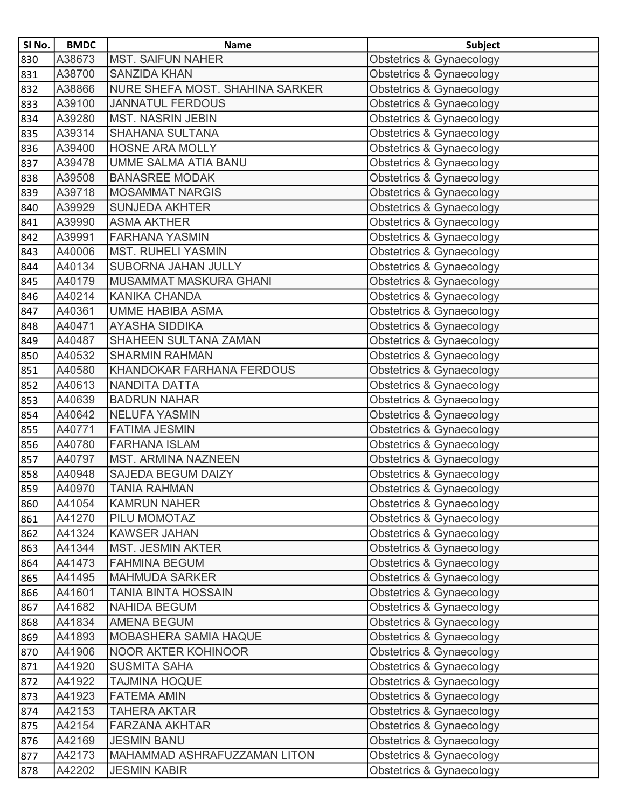| SI No. | <b>BMDC</b> | <b>Name</b>                     | <b>Subject</b>                      |
|--------|-------------|---------------------------------|-------------------------------------|
| 830    | A38673      | <b>MST. SAIFUN NAHER</b>        | Obstetrics & Gynaecology            |
| 831    | A38700      | <b>SANZIDA KHAN</b>             | Obstetrics & Gynaecology            |
| 832    | A38866      | NURE SHEFA MOST. SHAHINA SARKER | Obstetrics & Gynaecology            |
| 833    | A39100      | <b>JANNATUL FERDOUS</b>         | Obstetrics & Gynaecology            |
| 834    | A39280      | <b>MST. NASRIN JEBIN</b>        | Obstetrics & Gynaecology            |
| 835    | A39314      | SHAHANA SULTANA                 | Obstetrics & Gynaecology            |
| 836    | A39400      | <b>HOSNE ARA MOLLY</b>          | Obstetrics & Gynaecology            |
| 837    | A39478      | <b>UMME SALMA ATIA BANU</b>     | Obstetrics & Gynaecology            |
| 838    | A39508      | <b>BANASREE MODAK</b>           | <b>Obstetrics &amp; Gynaecology</b> |
| 839    | A39718      | <b>MOSAMMAT NARGIS</b>          | <b>Obstetrics &amp; Gynaecology</b> |
| 840    | A39929      | <b>SUNJEDA AKHTER</b>           | <b>Obstetrics &amp; Gynaecology</b> |
| 841    | A39990      | <b>ASMA AKTHER</b>              | Obstetrics & Gynaecology            |
| 842    | A39991      | <b>FARHANA YASMIN</b>           | <b>Obstetrics &amp; Gynaecology</b> |
| 843    | A40006      | <b>MST. RUHELI YASMIN</b>       | <b>Obstetrics &amp; Gynaecology</b> |
| 844    | A40134      | SUBORNA JAHAN JULLY             | <b>Obstetrics &amp; Gynaecology</b> |
| 845    | A40179      | <b>MUSAMMAT MASKURA GHANI</b>   | Obstetrics & Gynaecology            |
| 846    | A40214      | <b>KANIKA CHANDA</b>            | Obstetrics & Gynaecology            |
| 847    | A40361      | <b>UMME HABIBA ASMA</b>         | <b>Obstetrics &amp; Gynaecology</b> |
| 848    | A40471      | <b>AYASHA SIDDIKA</b>           | Obstetrics & Gynaecology            |
| 849    | A40487      | SHAHEEN SULTANA ZAMAN           | Obstetrics & Gynaecology            |
| 850    | A40532      | <b>SHARMIN RAHMAN</b>           | <b>Obstetrics &amp; Gynaecology</b> |
| 851    | A40580      | KHANDOKAR FARHANA FERDOUS       | Obstetrics & Gynaecology            |
| 852    | A40613      | <b>NANDITA DATTA</b>            | <b>Obstetrics &amp; Gynaecology</b> |
| 853    | A40639      | <b>BADRUN NAHAR</b>             | Obstetrics & Gynaecology            |
| 854    | A40642      | <b>NELUFA YASMIN</b>            | <b>Obstetrics &amp; Gynaecology</b> |
| 855    | A40771      | <b>FATIMA JESMIN</b>            | Obstetrics & Gynaecology            |
| 856    | A40780      | <b>FARHANA ISLAM</b>            | Obstetrics & Gynaecology            |
| 857    | A40797      | <b>MST. ARMINA NAZNEEN</b>      | <b>Obstetrics &amp; Gynaecology</b> |
| 858    | A40948      | <b>SAJEDA BEGUM DAIZY</b>       | Obstetrics & Gynaecology            |
| 859    | A40970      | <b>TANIA RAHMAN</b>             | Obstetrics & Gynaecology            |
| 860    | A41054      | <b>KAMRUN NAHER</b>             | Obstetrics & Gynaecology            |
| 861    | A41270      | PILU MOMOTAZ                    | <b>Obstetrics &amp; Gynaecology</b> |
| 862    | A41324      | <b>KAWSER JAHAN</b>             | <b>Obstetrics &amp; Gynaecology</b> |
| 863    | A41344      | <b>MST. JESMIN AKTER</b>        | Obstetrics & Gynaecology            |
| 864    | A41473      | <b>FAHMINA BEGUM</b>            | Obstetrics & Gynaecology            |
| 865    | A41495      | <b>MAHMUDA SARKER</b>           | Obstetrics & Gynaecology            |
| 866    | A41601      | <b>TANIA BINTA HOSSAIN</b>      | <b>Obstetrics &amp; Gynaecology</b> |
| 867    | A41682      | <b>NAHIDA BEGUM</b>             | Obstetrics & Gynaecology            |
| 868    | A41834      | <b>AMENA BEGUM</b>              | <b>Obstetrics &amp; Gynaecology</b> |
| 869    | A41893      | <b>MOBASHERA SAMIA HAQUE</b>    | Obstetrics & Gynaecology            |
| 870    | A41906      | NOOR AKTER KOHINOOR             | Obstetrics & Gynaecology            |
| 871    | A41920      | <b>SUSMITA SAHA</b>             | <b>Obstetrics &amp; Gynaecology</b> |
| 872    | A41922      | TAJMINA HOQUE                   | Obstetrics & Gynaecology            |
| 873    | A41923      | <b>FATEMA AMIN</b>              | Obstetrics & Gynaecology            |
| 874    | A42153      | TAHERA AKTAR                    | Obstetrics & Gynaecology            |
| 875    | A42154      | <b>FARZANA AKHTAR</b>           | Obstetrics & Gynaecology            |
| 876    | A42169      | <b>JESMIN BANU</b>              | <b>Obstetrics &amp; Gynaecology</b> |
| 877    | A42173      | MAHAMMAD ASHRAFUZZAMAN LITON    | Obstetrics & Gynaecology            |
| 878    | A42202      | <b>JESMIN KABIR</b>             | Obstetrics & Gynaecology            |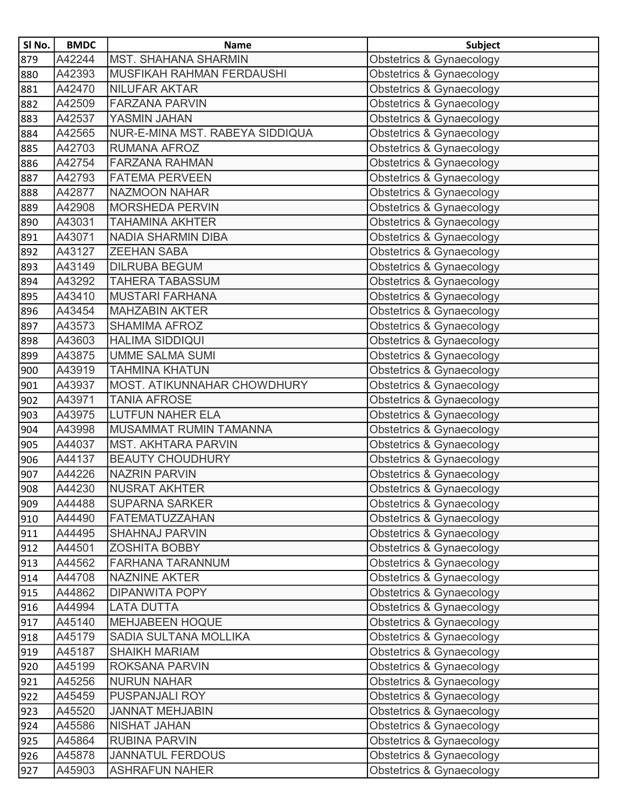| SI No. | <b>BMDC</b> | <b>Name</b>                     | <b>Subject</b>                      |
|--------|-------------|---------------------------------|-------------------------------------|
| 879    | A42244      | <b>MST. SHAHANA SHARMIN</b>     | Obstetrics & Gynaecology            |
| 880    | A42393      | MUSFIKAH RAHMAN FERDAUSHI       | Obstetrics & Gynaecology            |
| 881    | A42470      | <b>NILUFAR AKTAR</b>            | Obstetrics & Gynaecology            |
| 882    | A42509      | <b>FARZANA PARVIN</b>           | Obstetrics & Gynaecology            |
| 883    | A42537      | YASMIN JAHAN                    | Obstetrics & Gynaecology            |
| 884    | A42565      | NUR-E-MINA MST. RABEYA SIDDIQUA | Obstetrics & Gynaecology            |
| 885    | A42703      | <b>RUMANA AFROZ</b>             | Obstetrics & Gynaecology            |
| 886    | A42754      | <b>FARZANA RAHMAN</b>           | Obstetrics & Gynaecology            |
| 887    | A42793      | <b>FATEMA PERVEEN</b>           | Obstetrics & Gynaecology            |
| 888    | A42877      | <b>NAZMOON NAHAR</b>            | <b>Obstetrics &amp; Gynaecology</b> |
| 889    | A42908      | <b>MORSHEDA PERVIN</b>          | Obstetrics & Gynaecology            |
| 890    | A43031      | <b>TAHAMINA AKHTER</b>          | Obstetrics & Gynaecology            |
| 891    | A43071      | <b>NADIA SHARMIN DIBA</b>       | Obstetrics & Gynaecology            |
| 892    | A43127      | <b>ZEEHAN SABA</b>              | Obstetrics & Gynaecology            |
| 893    | A43149      | <b>DILRUBA BEGUM</b>            | Obstetrics & Gynaecology            |
| 894    | A43292      | <b>TAHERA TABASSUM</b>          | Obstetrics & Gynaecology            |
| 895    | A43410      | <b>MUSTARI FARHANA</b>          | Obstetrics & Gynaecology            |
| 896    | A43454      | <b>MAHZABIN AKTER</b>           | Obstetrics & Gynaecology            |
| 897    | A43573      | <b>SHAMIMA AFROZ</b>            | <b>Obstetrics &amp; Gynaecology</b> |
| 898    | A43603      | <b>HALIMA SIDDIQUI</b>          | <b>Obstetrics &amp; Gynaecology</b> |
| 899    | A43875      | <b>UMME SALMA SUMI</b>          | Obstetrics & Gynaecology            |
| 900    | A43919      | <b>TAHMINA KHATUN</b>           | Obstetrics & Gynaecology            |
| 901    | A43937      | MOST. ATIKUNNAHAR CHOWDHURY     | Obstetrics & Gynaecology            |
| 902    | A43971      | <b>TANIA AFROSE</b>             | Obstetrics & Gynaecology            |
| 903    | A43975      | <b>LUTFUN NAHER ELA</b>         | <b>Obstetrics &amp; Gynaecology</b> |
| 904    | A43998      | MUSAMMAT RUMIN TAMANNA          | Obstetrics & Gynaecology            |
| 905    | A44037      | <b>MST. AKHTARA PARVIN</b>      | Obstetrics & Gynaecology            |
| 906    | A44137      | <b>BEAUTY CHOUDHURY</b>         | Obstetrics & Gynaecology            |
| 907    | A44226      | <b>NAZRIN PARVIN</b>            | Obstetrics & Gynaecology            |
| 908    | A44230      | <b>NUSRAT AKHTER</b>            | Obstetrics & Gynaecology            |
| 909    | A44488      | <b>SUPARNA SARKER</b>           | Obstetrics & Gynaecology            |
| 910    | A44490      | <b>FATEMATUZZAHAN</b>           | Obstetrics & Gynaecology            |
| 911    | A44495      | <b>SHAHNAJ PARVIN</b>           | Obstetrics & Gynaecology            |
| 912    | A44501      | <b>ZOSHITA BOBBY</b>            | Obstetrics & Gynaecology            |
| 913    | A44562      | FARHANA TARANNUM                | Obstetrics & Gynaecology            |
| 914    | A44708      | <b>NAZNINE AKTER</b>            | Obstetrics & Gynaecology            |
| 915    | A44862      | <b>DIPANWITA POPY</b>           | Obstetrics & Gynaecology            |
| 916    | A44994      | <b>LATA DUTTA</b>               | Obstetrics & Gynaecology            |
| 917    | A45140      | <b>MEHJABEEN HOQUE</b>          | Obstetrics & Gynaecology            |
| 918    | A45179      | SADIA SULTANA MOLLIKA           | Obstetrics & Gynaecology            |
| 919    | A45187      | <b>SHAIKH MARIAM</b>            | Obstetrics & Gynaecology            |
| 920    | A45199      | ROKSANA PARVIN                  | Obstetrics & Gynaecology            |
| 921    | A45256      | <b>NURUN NAHAR</b>              | Obstetrics & Gynaecology            |
| 922    | A45459      | PUSPANJALI ROY                  | Obstetrics & Gynaecology            |
| 923    | A45520      | <b>JANNAT MEHJABIN</b>          | Obstetrics & Gynaecology            |
| 924    | A45586      | <b>NISHAT JAHAN</b>             | Obstetrics & Gynaecology            |
| 925    | A45864      | <b>RUBINA PARVIN</b>            | Obstetrics & Gynaecology            |
| 926    | A45878      | <b>JANNATUL FERDOUS</b>         | Obstetrics & Gynaecology            |
| 927    | A45903      | <b>ASHRAFUN NAHER</b>           | Obstetrics & Gynaecology            |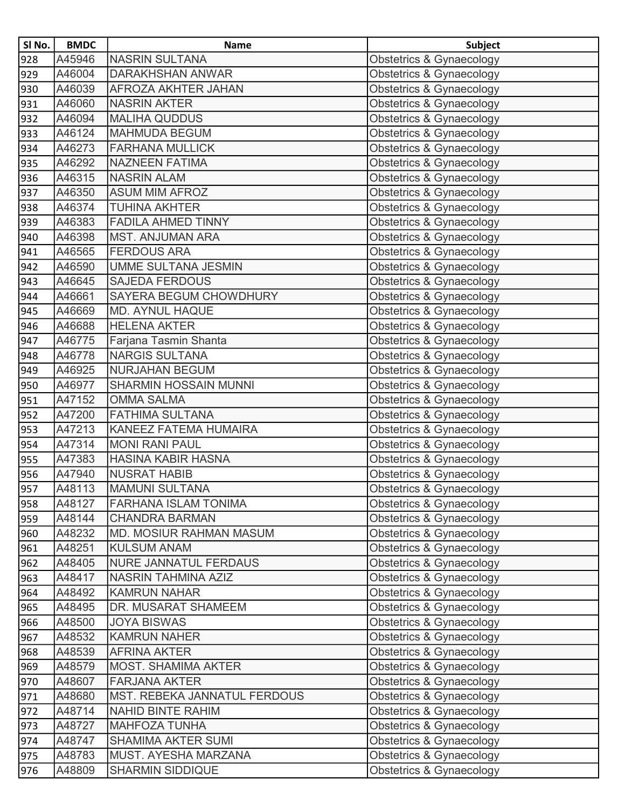| SI No. | <b>BMDC</b> | <b>Name</b>                         | <b>Subject</b>                      |
|--------|-------------|-------------------------------------|-------------------------------------|
| 928    | A45946      | <b>NASRIN SULTANA</b>               | <b>Obstetrics &amp; Gynaecology</b> |
| 929    | A46004      | <b>DARAKHSHAN ANWAR</b>             | Obstetrics & Gynaecology            |
| 930    | A46039      | AFROZA AKHTER JAHAN                 | <b>Obstetrics &amp; Gynaecology</b> |
| 931    | A46060      | <b>NASRIN AKTER</b>                 | <b>Obstetrics &amp; Gynaecology</b> |
| 932    | A46094      | <b>MALIHA QUDDUS</b>                | <b>Obstetrics &amp; Gynaecology</b> |
| 933    | A46124      | <b>MAHMUDA BEGUM</b>                | <b>Obstetrics &amp; Gynaecology</b> |
| 934    | A46273      | <b>FARHANA MULLICK</b>              | Obstetrics & Gynaecology            |
| 935    | A46292      | <b>NAZNEEN FATIMA</b>               | <b>Obstetrics &amp; Gynaecology</b> |
| 936    | A46315      | <b>NASRIN ALAM</b>                  | Obstetrics & Gynaecology            |
| 937    | A46350      | <b>ASUM MIM AFROZ</b>               | <b>Obstetrics &amp; Gynaecology</b> |
| 938    | A46374      | <b>TUHINA AKHTER</b>                | <b>Obstetrics &amp; Gynaecology</b> |
| 939    | A46383      | <b>FADILA AHMED TINNY</b>           | Obstetrics & Gynaecology            |
| 940    | A46398      | <b>MST. ANJUMAN ARA</b>             | <b>Obstetrics &amp; Gynaecology</b> |
| 941    | A46565      | <b>FERDOUS ARA</b>                  | Obstetrics & Gynaecology            |
| 942    | A46590      | <b>UMME SULTANA JESMIN</b>          | Obstetrics & Gynaecology            |
| 943    | A46645      | <b>SAJEDA FERDOUS</b>               | <b>Obstetrics &amp; Gynaecology</b> |
| 944    | A46661      | <b>SAYERA BEGUM CHOWDHURY</b>       | <b>Obstetrics &amp; Gynaecology</b> |
| 945    | A46669      | <b>MD. AYNUL HAQUE</b>              | <b>Obstetrics &amp; Gynaecology</b> |
| 946    | A46688      | <b>HELENA AKTER</b>                 | <b>Obstetrics &amp; Gynaecology</b> |
| 947    | A46775      | Farjana Tasmin Shanta               | <b>Obstetrics &amp; Gynaecology</b> |
| 948    | A46778      | <b>NARGIS SULTANA</b>               | Obstetrics & Gynaecology            |
| 949    | A46925      | <b>NURJAHAN BEGUM</b>               | Obstetrics & Gynaecology            |
| 950    | A46977      | <b>SHARMIN HOSSAIN MUNNI</b>        | Obstetrics & Gynaecology            |
| 951    | A47152      | <b>OMMA SALMA</b>                   | Obstetrics & Gynaecology            |
| 952    | A47200      | <b>FATHIMA SULTANA</b>              | Obstetrics & Gynaecology            |
| 953    | A47213      | KANEEZ FATEMA HUMAIRA               | <b>Obstetrics &amp; Gynaecology</b> |
| 954    | A47314      | <b>MONI RANI PAUL</b>               | Obstetrics & Gynaecology            |
| 955    | A47383      | <b>HASINA KABIR HASNA</b>           | <b>Obstetrics &amp; Gynaecology</b> |
| 956    | A47940      | <b>NUSRAT HABIB</b>                 | <b>Obstetrics &amp; Gynaecology</b> |
| 957    | A48113      | <b>MAMUNI SULTANA</b>               | <b>Obstetrics &amp; Gynaecology</b> |
| 958    | A48127      | <b>FARHANA ISLAM TONIMA</b>         | Obstetrics & Gynaecology            |
| 959    | A48144      | <b>CHANDRA BARMAN</b>               | Obstetrics & Gynaecology            |
| 960    | A48232      | <b>MD. MOSIUR RAHMAN MASUM</b>      | Obstetrics & Gynaecology            |
| 961    | A48251      | <b>KULSUM ANAM</b>                  | <b>Obstetrics &amp; Gynaecology</b> |
| 962    | A48405      | <b>NURE JANNATUL FERDAUS</b>        | Obstetrics & Gynaecology            |
| 963    | A48417      | NASRIN TAHMINA AZIZ                 | Obstetrics & Gynaecology            |
| 964    | A48492      | <b>KAMRUN NAHAR</b>                 | Obstetrics & Gynaecology            |
| 965    | A48495      | DR. MUSARAT SHAMEEM                 | <b>Obstetrics &amp; Gynaecology</b> |
| 966    | A48500      | <b>JOYA BISWAS</b>                  | <b>Obstetrics &amp; Gynaecology</b> |
| 967    | A48532      | <b>KAMRUN NAHER</b>                 | Obstetrics & Gynaecology            |
| 968    | A48539      | <b>AFRINA AKTER</b>                 | <b>Obstetrics &amp; Gynaecology</b> |
| 969    | A48579      | <b>MOST. SHAMIMA AKTER</b>          | <b>Obstetrics &amp; Gynaecology</b> |
| 970    | A48607      | <b>FARJANA AKTER</b>                | Obstetrics & Gynaecology            |
| 971    | A48680      | <b>MST. REBEKA JANNATUL FERDOUS</b> | <b>Obstetrics &amp; Gynaecology</b> |
| 972    | A48714      | <b>NAHID BINTE RAHIM</b>            | Obstetrics & Gynaecology            |
| 973    | A48727      | <b>MAHFOZA TUNHA</b>                | <b>Obstetrics &amp; Gynaecology</b> |
| 974    | A48747      | <b>SHAMIMA AKTER SUMI</b>           | Obstetrics & Gynaecology            |
| 975    | A48783      | MUST. AYESHA MARZANA                | Obstetrics & Gynaecology            |
| 976    | A48809      | <b>SHARMIN SIDDIQUE</b>             | Obstetrics & Gynaecology            |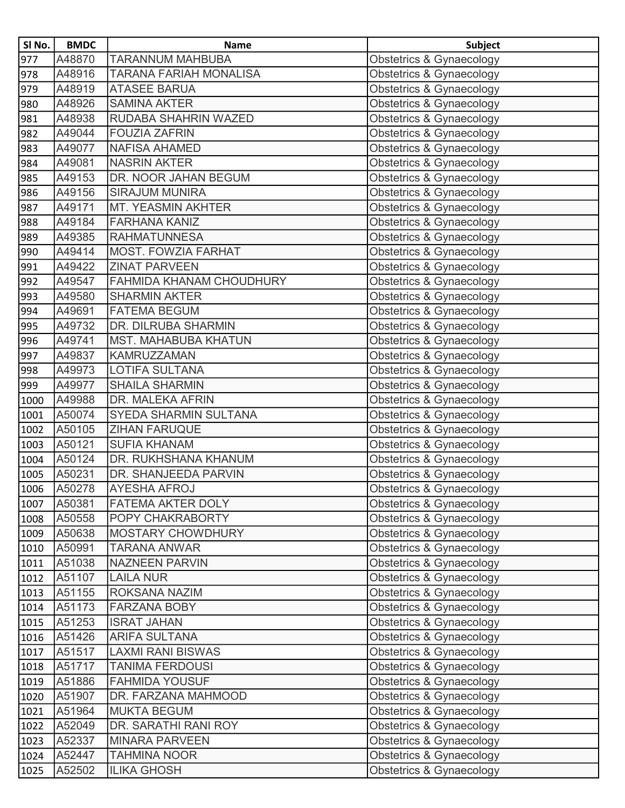| SI No. | <b>BMDC</b> | <b>Name</b>                   | <b>Subject</b>                      |
|--------|-------------|-------------------------------|-------------------------------------|
| 977    | A48870      | <b>TARANNUM MAHBUBA</b>       | Obstetrics & Gynaecology            |
| 978    | A48916      | <b>TARANA FARIAH MONALISA</b> | Obstetrics & Gynaecology            |
| 979    | A48919      | <b>ATASEE BARUA</b>           | Obstetrics & Gynaecology            |
| 980    | A48926      | <b>SAMINA AKTER</b>           | <b>Obstetrics &amp; Gynaecology</b> |
| 981    | A48938      | RUDABA SHAHRIN WAZED          | Obstetrics & Gynaecology            |
| 982    | A49044      | <b>FOUZIA ZAFRIN</b>          | Obstetrics & Gynaecology            |
| 983    | A49077      | <b>NAFISA AHAMED</b>          | Obstetrics & Gynaecology            |
| 984    | A49081      | <b>NASRIN AKTER</b>           | Obstetrics & Gynaecology            |
| 985    | A49153      | DR. NOOR JAHAN BEGUM          | Obstetrics & Gynaecology            |
| 986    | A49156      | <b>SIRAJUM MUNIRA</b>         | Obstetrics & Gynaecology            |
| 987    | A49171      | <b>MT. YEASMIN AKHTER</b>     | Obstetrics & Gynaecology            |
| 988    | A49184      | <b>FARHANA KANIZ</b>          | <b>Obstetrics &amp; Gynaecology</b> |
| 989    | A49385      | <b>RAHMATUNNESA</b>           | Obstetrics & Gynaecology            |
| 990    | A49414      | <b>MOST, FOWZIA FARHAT</b>    | Obstetrics & Gynaecology            |
| 991    | A49422      | <b>ZINAT PARVEEN</b>          | Obstetrics & Gynaecology            |
| 992    | A49547      | FAHMIDA KHANAM CHOUDHURY      | Obstetrics & Gynaecology            |
| 993    | A49580      | <b>SHARMIN AKTER</b>          | Obstetrics & Gynaecology            |
| 994    | A49691      | <b>FATEMA BEGUM</b>           | Obstetrics & Gynaecology            |
| 995    | A49732      | DR. DILRUBA SHARMIN           | Obstetrics & Gynaecology            |
| 996    | A49741      | <b>MST. MAHABUBA KHATUN</b>   | Obstetrics & Gynaecology            |
| 997    | A49837      | <b>KAMRUZZAMAN</b>            | Obstetrics & Gynaecology            |
| 998    | A49973      | <b>LOTIFA SULTANA</b>         | Obstetrics & Gynaecology            |
| 999    | A49977      | <b>SHAILA SHARMIN</b>         | Obstetrics & Gynaecology            |
| 1000   | A49988      | DR. MALEKA AFRIN              | Obstetrics & Gynaecology            |
| 1001   | A50074      | SYEDA SHARMIN SULTANA         | <b>Obstetrics &amp; Gynaecology</b> |
| 1002   | A50105      | <b>ZIHAN FARUQUE</b>          | Obstetrics & Gynaecology            |
| 1003   | A50121      | <b>SUFIA KHANAM</b>           | Obstetrics & Gynaecology            |
| 1004   | A50124      | DR. RUKHSHANA KHANUM          | Obstetrics & Gynaecology            |
| 1005   | A50231      | DR. SHANJEEDA PARVIN          | Obstetrics & Gynaecology            |
| 1006   | A50278      | <b>AYESHA AFROJ</b>           | Obstetrics & Gynaecology            |
| 1007   | A50381      | <b>FATEMA AKTER DOLY</b>      | Obstetrics & Gynaecology            |
| 1008   | A50558      | POPY CHAKRABORTY              | Obstetrics & Gynaecology            |
| 1009   | A50638      | <b>MOSTARY CHOWDHURY</b>      | Obstetrics & Gynaecology            |
| 1010   | A50991      | <b>TARANA ANWAR</b>           | Obstetrics & Gynaecology            |
| 1011   | A51038      | <b>NAZNEEN PARVIN</b>         | Obstetrics & Gynaecology            |
| 1012   | A51107      | <b>LAILA NUR</b>              | Obstetrics & Gynaecology            |
| 1013   | A51155      | ROKSANA NAZIM                 | Obstetrics & Gynaecology            |
| 1014   | A51173      | <b>FARZANA BOBY</b>           | Obstetrics & Gynaecology            |
| 1015   | A51253      | <b>ISRAT JAHAN</b>            | Obstetrics & Gynaecology            |
| 1016   | A51426      | <b>ARIFA SULTANA</b>          | Obstetrics & Gynaecology            |
| 1017   | A51517      | <b>LAXMI RANI BISWAS</b>      | Obstetrics & Gynaecology            |
| 1018   | A51717      | <b>TANIMA FERDOUSI</b>        | Obstetrics & Gynaecology            |
| 1019   | A51886      | <b>FAHMIDA YOUSUF</b>         | Obstetrics & Gynaecology            |
| 1020   | A51907      | DR. FARZANA MAHMOOD           | Obstetrics & Gynaecology            |
| 1021   | A51964      | <b>MUKTA BEGUM</b>            | Obstetrics & Gynaecology            |
| 1022   | A52049      | DR. SARATHI RANI ROY          | Obstetrics & Gynaecology            |
| 1023   | A52337      | <b>MINARA PARVEEN</b>         | Obstetrics & Gynaecology            |
| 1024   | A52447      | <b>TAHMINA NOOR</b>           | Obstetrics & Gynaecology            |
| 1025   | A52502      | <b>ILIKA GHOSH</b>            | Obstetrics & Gynaecology            |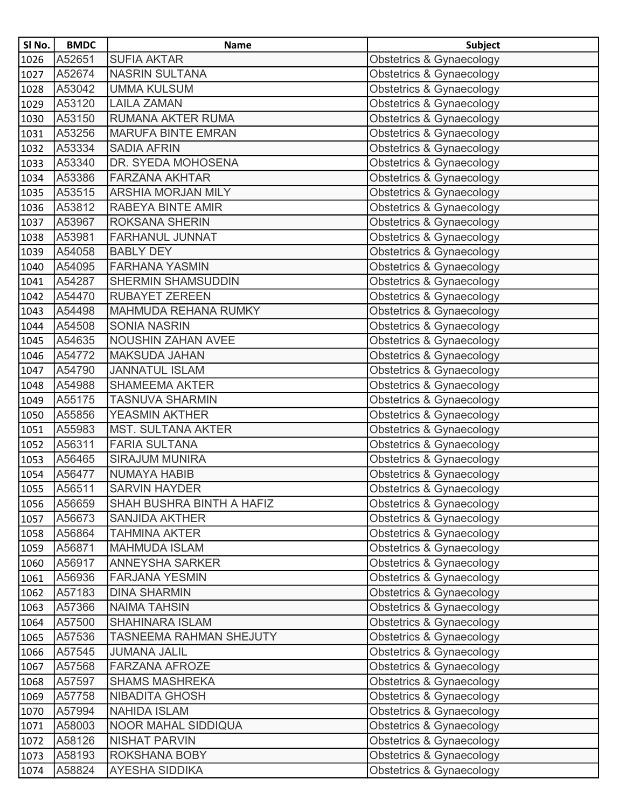| SI No.        | <b>BMDC</b> | <b>Name</b>                | <b>Subject</b>                      |
|---------------|-------------|----------------------------|-------------------------------------|
| 1026          | A52651      | <b>SUFIA AKTAR</b>         | Obstetrics & Gynaecology            |
| 1027          | A52674      | <b>NASRIN SULTANA</b>      | Obstetrics & Gynaecology            |
| 1028          | A53042      | <b>UMMA KULSUM</b>         | Obstetrics & Gynaecology            |
| 1029          | A53120      | <b>LAILA ZAMAN</b>         | Obstetrics & Gynaecology            |
| 1030          | A53150      | <b>RUMANA AKTER RUMA</b>   | Obstetrics & Gynaecology            |
| 1031          | A53256      | <b>MARUFA BINTE EMRAN</b>  | Obstetrics & Gynaecology            |
| 1032          | A53334      | <b>SADIA AFRIN</b>         | Obstetrics & Gynaecology            |
| 1033          | A53340      | DR. SYEDA MOHOSENA         | Obstetrics & Gynaecology            |
| 1034          | A53386      | <b>FARZANA AKHTAR</b>      | Obstetrics & Gynaecology            |
| 1035          | A53515      | <b>ARSHIA MORJAN MILY</b>  | Obstetrics & Gynaecology            |
| 1036          | A53812      | RABEYA BINTE AMIR          | Obstetrics & Gynaecology            |
| 1037          | A53967      | <b>ROKSANA SHERIN</b>      | Obstetrics & Gynaecology            |
| 1038          | A53981      | FARHANUL JUNNAT            | Obstetrics & Gynaecology            |
| 1039          | A54058      | <b>BABLY DEY</b>           | Obstetrics & Gynaecology            |
| 1040          | A54095      | <b>FARHANA YASMIN</b>      | <b>Obstetrics &amp; Gynaecology</b> |
| 1041          | A54287      | <b>SHERMIN SHAMSUDDIN</b>  | Obstetrics & Gynaecology            |
| 1042          | A54470      | <b>RUBAYET ZEREEN</b>      | Obstetrics & Gynaecology            |
| 1043          | A54498      | MAHMUDA REHANA RUMKY       | <b>Obstetrics &amp; Gynaecology</b> |
| 1044          | A54508      | <b>SONIA NASRIN</b>        | Obstetrics & Gynaecology            |
| 1045          | A54635      | <b>NOUSHIN ZAHAN AVEE</b>  | <b>Obstetrics &amp; Gynaecology</b> |
| 1046          | A54772      | <b>MAKSUDA JAHAN</b>       | Obstetrics & Gynaecology            |
| 1047          | A54790      | <b>JANNATUL ISLAM</b>      | Obstetrics & Gynaecology            |
| 1048          | A54988      | <b>SHAMEEMA AKTER</b>      | Obstetrics & Gynaecology            |
| 1049          | A55175      | <b>TASNUVA SHARMIN</b>     | Obstetrics & Gynaecology            |
| 1050          | A55856      | YEASMIN AKTHER             | Obstetrics & Gynaecology            |
| 1051          | A55983      | <b>MST. SULTANA AKTER</b>  | Obstetrics & Gynaecology            |
| 1052          | A56311      | <b>FARIA SULTANA</b>       | Obstetrics & Gynaecology            |
| 1053          | A56465      | <b>SIRAJUM MUNIRA</b>      | Obstetrics & Gynaecology            |
| 1054          | A56477      | <b>NUMAYA HABIB</b>        | Obstetrics & Gynaecology            |
| $\sqrt{1055}$ | A56511      | <b>SARVIN HAYDER</b>       | <b>Obstetrics &amp; Gynaecology</b> |
| 1056          | A56659      | SHAH BUSHRA BINTH A HAFIZ  | Obstetrics & Gynaecology            |
| 1057          | A56673      | <b>SANJIDA AKTHER</b>      | Obstetrics & Gynaecology            |
| 1058          | A56864      | <b>TAHMINA AKTER</b>       | Obstetrics & Gynaecology            |
| 1059          | A56871      | <b>MAHMUDA ISLAM</b>       | Obstetrics & Gynaecology            |
| 1060          | A56917      | <b>ANNEYSHA SARKER</b>     | Obstetrics & Gynaecology            |
| 1061          | A56936      | <b>FARJANA YESMIN</b>      | Obstetrics & Gynaecology            |
| 1062          | A57183      | <b>DINA SHARMIN</b>        | Obstetrics & Gynaecology            |
| 1063          | A57366      | <b>NAIMA TAHSIN</b>        | Obstetrics & Gynaecology            |
| 1064          | A57500      | <b>SHAHINARA ISLAM</b>     | Obstetrics & Gynaecology            |
| 1065          | A57536      | TASNEEMA RAHMAN SHEJUTY    | Obstetrics & Gynaecology            |
| 1066          | A57545      | <b>JUMANA JALIL</b>        | Obstetrics & Gynaecology            |
| 1067          | A57568      | <b>FARZANA AFROZE</b>      | Obstetrics & Gynaecology            |
| 1068          | A57597      | <b>SHAMS MASHREKA</b>      | Obstetrics & Gynaecology            |
| 1069          | A57758      | <b>NIBADITA GHOSH</b>      | Obstetrics & Gynaecology            |
| 1070          | A57994      | <b>NAHIDA ISLAM</b>        | Obstetrics & Gynaecology            |
| 1071          | A58003      | <b>NOOR MAHAL SIDDIQUA</b> | Obstetrics & Gynaecology            |
| 1072          | A58126      | <b>NISHAT PARVIN</b>       | Obstetrics & Gynaecology            |
| 1073          | A58193      | ROKSHANA BOBY              | Obstetrics & Gynaecology            |
| 1074          | A58824      | <b>AYESHA SIDDIKA</b>      | Obstetrics & Gynaecology            |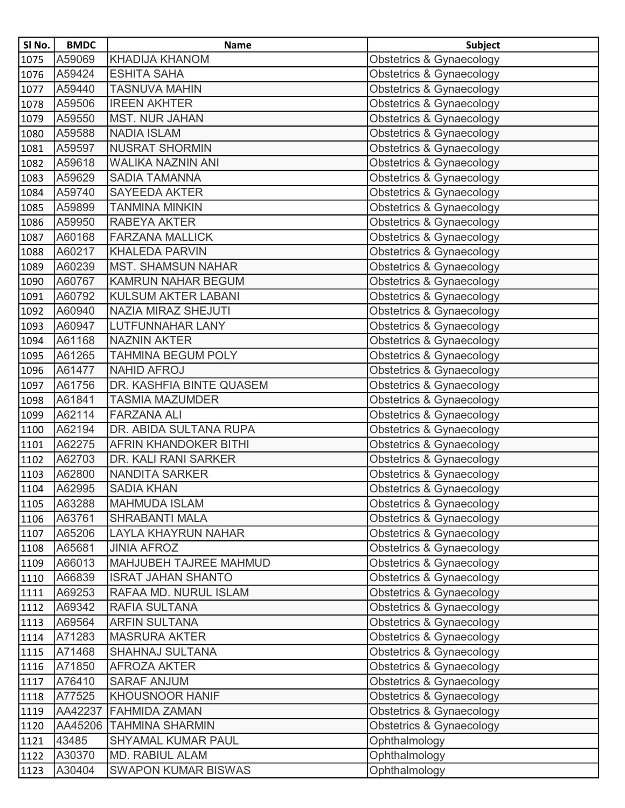| SI No.        | <b>BMDC</b> | <b>Name</b>                   | <b>Subject</b>                      |
|---------------|-------------|-------------------------------|-------------------------------------|
| 1075          | A59069      | <b>KHADIJA KHANOM</b>         | <b>Obstetrics &amp; Gynaecology</b> |
| 1076          | A59424      | <b>ESHITA SAHA</b>            | <b>Obstetrics &amp; Gynaecology</b> |
| 1077          | A59440      | <b>TASNUVA MAHIN</b>          | Obstetrics & Gynaecology            |
| 1078          | A59506      | <b>IREEN AKHTER</b>           | <b>Obstetrics &amp; Gynaecology</b> |
| 1079          | A59550      | <b>MST. NUR JAHAN</b>         | <b>Obstetrics &amp; Gynaecology</b> |
| 1080          | A59588      | <b>NADIA ISLAM</b>            | Obstetrics & Gynaecology            |
| 1081          | A59597      | <b>NUSRAT SHORMIN</b>         | Obstetrics & Gynaecology            |
| 1082          | A59618      | <b>WALIKA NAZNIN ANI</b>      | <b>Obstetrics &amp; Gynaecology</b> |
| 1083          | A59629      | <b>SADIA TAMANNA</b>          | <b>Obstetrics &amp; Gynaecology</b> |
| 1084          | A59740      | <b>SAYEEDA AKTER</b>          | Obstetrics & Gynaecology            |
| 1085          | A59899      | <b>TANMINA MINKIN</b>         | <b>Obstetrics &amp; Gynaecology</b> |
| 1086          | A59950      | RABEYA AKTER                  | <b>Obstetrics &amp; Gynaecology</b> |
| 1087          | A60168      | <b>FARZANA MALLICK</b>        | <b>Obstetrics &amp; Gynaecology</b> |
| 1088          | A60217      | <b>KHALEDA PARVIN</b>         | Obstetrics & Gynaecology            |
| 1089          | A60239      | <b>MST. SHAMSUN NAHAR</b>     | <b>Obstetrics &amp; Gynaecology</b> |
| 1090          | A60767      | <b>KAMRUN NAHAR BEGUM</b>     | Obstetrics & Gynaecology            |
| 1091          | A60792      | <b>KULSUM AKTER LABANI</b>    | Obstetrics & Gynaecology            |
| 1092          | A60940      | NAZIA MIRAZ SHEJUTI           | <b>Obstetrics &amp; Gynaecology</b> |
| 1093          | A60947      | LUTFUNNAHAR LANY              | Obstetrics & Gynaecology            |
| 1094          | A61168      | <b>NAZNIN AKTER</b>           | Obstetrics & Gynaecology            |
| 1095          | A61265      | <b>TAHMINA BEGUM POLY</b>     | Obstetrics & Gynaecology            |
| 1096          | A61477      | <b>NAHID AFROJ</b>            | Obstetrics & Gynaecology            |
| 1097          | A61756      | DR. KASHFIA BINTE QUASEM      | <b>Obstetrics &amp; Gynaecology</b> |
| 1098          | A61841      | <b>TASMIA MAZUMDER</b>        | Obstetrics & Gynaecology            |
| 1099          | A62114      | <b>FARZANA ALI</b>            | <b>Obstetrics &amp; Gynaecology</b> |
| 1100          | A62194      | DR. ABIDA SULTANA RUPA        | Obstetrics & Gynaecology            |
| 1101          | A62275      | <b>AFRIN KHANDOKER BITHI</b>  | Obstetrics & Gynaecology            |
| 1102          | A62703      | DR. KALI RANI SARKER          | Obstetrics & Gynaecology            |
| 1103          | A62800      | <b>NANDITA SARKER</b>         | <b>Obstetrics &amp; Gynaecology</b> |
| $\sqrt{1104}$ | A62995      | <b>SADIA KHAN</b>             | Obstetrics & Gynaecology            |
| 1105          | A63288      | <b>MAHMUDA ISLAM</b>          | Obstetrics & Gynaecology            |
| 1106          | A63761      | SHRABANTI MALA                | Obstetrics & Gynaecology            |
| 1107          | A65206      | <b>LAYLA KHAYRUN NAHAR</b>    | Obstetrics & Gynaecology            |
| 1108          | A65681      | <b>JINIA AFROZ</b>            | Obstetrics & Gynaecology            |
| 1109          | A66013      | <b>MAHJUBEH TAJREE MAHMUD</b> | Obstetrics & Gynaecology            |
| 1110          | A66839      | <b>ISRAT JAHAN SHANTO</b>     | Obstetrics & Gynaecology            |
| 1111          | A69253      | RAFAA MD. NURUL ISLAM         | <b>Obstetrics &amp; Gynaecology</b> |
| 1112          | A69342      | RAFIA SULTANA                 | Obstetrics & Gynaecology            |
| 1113          | A69564      | <b>ARFIN SULTANA</b>          | Obstetrics & Gynaecology            |
| 1114          | A71283      | <b>MASRURA AKTER</b>          | Obstetrics & Gynaecology            |
| 1115          | A71468      | SHAHNAJ SULTANA               | Obstetrics & Gynaecology            |
| 1116          | A71850      | <b>AFROZA AKTER</b>           | <b>Obstetrics &amp; Gynaecology</b> |
| 1117          | A76410      | <b>SARAF ANJUM</b>            | Obstetrics & Gynaecology            |
| 1118          | A77525      | KHOUSNOOR HANIF               | Obstetrics & Gynaecology            |
| 1119          | AA42237     | <b>FAHMIDA ZAMAN</b>          | Obstetrics & Gynaecology            |
| 1120          | AA45206     | <b>TAHMINA SHARMIN</b>        | <b>Obstetrics &amp; Gynaecology</b> |
| 1121          | 43485       | <b>SHYAMAL KUMAR PAUL</b>     | Ophthalmology                       |
| 1122          | A30370      | MD. RABIUL ALAM               | Ophthalmology                       |
| 1123          | A30404      | <b>SWAPON KUMAR BISWAS</b>    | Ophthalmology                       |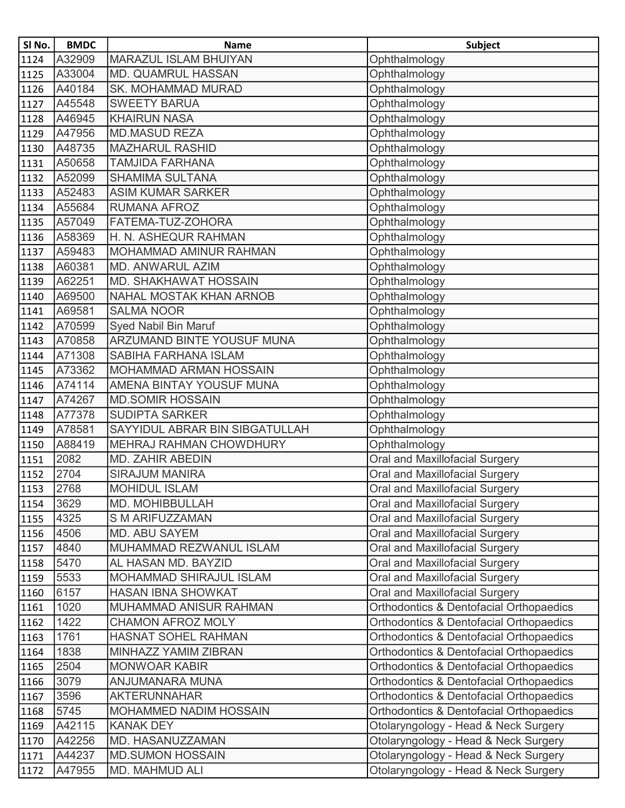| SI No.        | <b>BMDC</b> | <b>Name</b>                       | <b>Subject</b>                          |
|---------------|-------------|-----------------------------------|-----------------------------------------|
| $\sqrt{1124}$ | A32909      | <b>MARAZUL ISLAM BHUIYAN</b>      | Ophthalmology                           |
| 1125          | A33004      | <b>MD. QUAMRUL HASSAN</b>         | Ophthalmology                           |
| 1126          | A40184      | <b>SK. MOHAMMAD MURAD</b>         | Ophthalmology                           |
| 1127          | A45548      | <b>SWEETY BARUA</b>               | Ophthalmology                           |
| 1128          | A46945      | <b>KHAIRUN NASA</b>               | Ophthalmology                           |
| 1129          | A47956      | <b>MD.MASUD REZA</b>              | Ophthalmology                           |
| 1130          | A48735      | <b>MAZHARUL RASHID</b>            | Ophthalmology                           |
| 1131          | A50658      | <b>TAMJIDA FARHANA</b>            | Ophthalmology                           |
| 1132          | A52099      | <b>SHAMIMA SULTANA</b>            | Ophthalmology                           |
| 1133          | A52483      | <b>ASIM KUMAR SARKER</b>          | Ophthalmology                           |
| 1134          | A55684      | <b>RUMANA AFROZ</b>               | Ophthalmology                           |
| 1135          | A57049      | FATEMA-TUZ-ZOHORA                 | Ophthalmology                           |
| 1136          | A58369      | H. N. ASHEQUR RAHMAN              | Ophthalmology                           |
| 1137          | A59483      | MOHAMMAD AMINUR RAHMAN            | Ophthalmology                           |
| 1138          | A60381      | <b>MD. ANWARUL AZIM</b>           | Ophthalmology                           |
| 1139          | A62251      | <b>MD. SHAKHAWAT HOSSAIN</b>      | Ophthalmology                           |
| 1140          | A69500      | NAHAL MOSTAK KHAN ARNOB           | Ophthalmology                           |
| 1141          | A69581      | <b>SALMA NOOR</b>                 | Ophthalmology                           |
| 1142          | A70599      | Syed Nabil Bin Maruf              | Ophthalmology                           |
| 1143          | A70858      | <b>ARZUMAND BINTE YOUSUF MUNA</b> | Ophthalmology                           |
| 1144          | A71308      | <b>SABIHA FARHANA ISLAM</b>       | Ophthalmology                           |
| 1145          | A73362      | MOHAMMAD ARMAN HOSSAIN            | Ophthalmology                           |
| 1146          | A74114      | AMENA BINTAY YOUSUF MUNA          | Ophthalmology                           |
| 1147          | A74267      | <b>MD.SOMIR HOSSAIN</b>           | Ophthalmology                           |
| 1148          | A77378      | <b>SUDIPTA SARKER</b>             | Ophthalmology                           |
| 1149          | A78581      | SAYYIDUL ABRAR BIN SIBGATULLAH    | Ophthalmology                           |
| 1150          | A88419      | MEHRAJ RAHMAN CHOWDHURY           | Ophthalmology                           |
| 1151          | 2082        | MD. ZAHIR ABEDIN                  | Oral and Maxillofacial Surgery          |
| 1152          | 2704        | <b>SIRAJUM MANIRA</b>             | Oral and Maxillofacial Surgery          |
| 1153          | 2768        | <b>MOHIDUL ISLAM</b>              | <b>Oral and Maxillofacial Surgery</b>   |
| 1154          | 3629        | MD. MOHIBBULLAH                   | Oral and Maxillofacial Surgery          |
| 1155          | 4325        | <b>S M ARIFUZZAMAN</b>            | Oral and Maxillofacial Surgery          |
| 1156          | 4506        | MD. ABU SAYEM                     | Oral and Maxillofacial Surgery          |
| 1157          | 4840        | MUHAMMAD REZWANUL ISLAM           | Oral and Maxillofacial Surgery          |
| 1158          | 5470        | AL HASAN MD. BAYZID               | Oral and Maxillofacial Surgery          |
| 1159          | 5533        | MOHAMMAD SHIRAJUL ISLAM           | Oral and Maxillofacial Surgery          |
| 1160          | 6157        | <b>HASAN IBNA SHOWKAT</b>         | Oral and Maxillofacial Surgery          |
| 1161          | 1020        | MUHAMMAD ANISUR RAHMAN            | Orthodontics & Dentofacial Orthopaedics |
| 1162          | 1422        | <b>CHAMON AFROZ MOLY</b>          | Orthodontics & Dentofacial Orthopaedics |
| 1163          | 1761        | <b>HASNAT SOHEL RAHMAN</b>        | Orthodontics & Dentofacial Orthopaedics |
| 1164          | 1838        | MINHAZZ YAMIM ZIBRAN              | Orthodontics & Dentofacial Orthopaedics |
| 1165          | 2504        | <b>MONWOAR KABIR</b>              | Orthodontics & Dentofacial Orthopaedics |
| 1166          | 3079        | ANJUMANARA MUNA                   | Orthodontics & Dentofacial Orthopaedics |
| 1167          | 3596        | <b>AKTERUNNAHAR</b>               | Orthodontics & Dentofacial Orthopaedics |
| 1168          | 5745        | MOHAMMED NADIM HOSSAIN            | Orthodontics & Dentofacial Orthopaedics |
| 1169          | A42115      | <b>KANAK DEY</b>                  | Otolaryngology - Head & Neck Surgery    |
| 1170          | A42256      | MD. HASANUZZAMAN                  | Otolaryngology - Head & Neck Surgery    |
| 1171          | A44237      | <b>MD.SUMON HOSSAIN</b>           | Otolaryngology - Head & Neck Surgery    |
| 1172          | A47955      | <b>MD. MAHMUD ALI</b>             | Otolaryngology - Head & Neck Surgery    |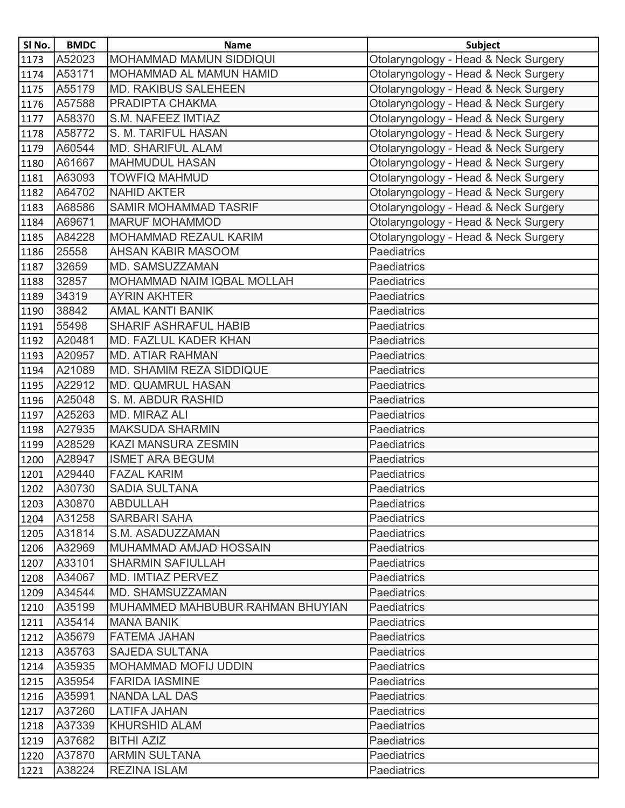| SI No. | <b>BMDC</b> | <b>Name</b>                      | <b>Subject</b>                       |
|--------|-------------|----------------------------------|--------------------------------------|
| 1173   | A52023      | <b>MOHAMMAD MAMUN SIDDIQUI</b>   | Otolaryngology - Head & Neck Surgery |
| 1174   | A53171      | MOHAMMAD AL MAMUN HAMID          | Otolaryngology - Head & Neck Surgery |
| 1175   | A55179      | <b>MD. RAKIBUS SALEHEEN</b>      | Otolaryngology - Head & Neck Surgery |
| 1176   | A57588      | PRADIPTA CHAKMA                  | Otolaryngology - Head & Neck Surgery |
| 1177   | A58370      | S.M. NAFEEZ IMTIAZ               | Otolaryngology - Head & Neck Surgery |
| 1178   | A58772      | S. M. TARIFUL HASAN              | Otolaryngology - Head & Neck Surgery |
| 1179   | A60544      | <b>MD. SHARIFUL ALAM</b>         | Otolaryngology - Head & Neck Surgery |
| 1180   | A61667      | <b>MAHMUDUL HASAN</b>            | Otolaryngology - Head & Neck Surgery |
| 1181   | A63093      | <b>TOWFIQ MAHMUD</b>             | Otolaryngology - Head & Neck Surgery |
| 1182   | A64702      | <b>NAHID AKTER</b>               | Otolaryngology - Head & Neck Surgery |
| 1183   | A68586      | <b>SAMIR MOHAMMAD TASRIF</b>     | Otolaryngology - Head & Neck Surgery |
| 1184   | A69671      | <b>MARUF MOHAMMOD</b>            | Otolaryngology - Head & Neck Surgery |
| 1185   | A84228      | <b>MOHAMMAD REZAUL KARIM</b>     | Otolaryngology - Head & Neck Surgery |
| 1186   | 25558       | AHSAN KABIR MASOOM               | Paediatrics                          |
| 1187   | 32659       | MD. SAMSUZZAMAN                  | Paediatrics                          |
| 1188   | 32857       | MOHAMMAD NAIM IQBAL MOLLAH       | Paediatrics                          |
| 1189   | 34319       | <b>AYRIN AKHTER</b>              | Paediatrics                          |
| 1190   | 38842       | <b>AMAL KANTI BANIK</b>          | Paediatrics                          |
| 1191   | 55498       | <b>SHARIF ASHRAFUL HABIB</b>     | <b>Paediatrics</b>                   |
| 1192   | A20481      | <b>MD. FAZLUL KADER KHAN</b>     | Paediatrics                          |
| 1193   | A20957      | <b>MD. ATIAR RAHMAN</b>          | Paediatrics                          |
| 1194   | A21089      | MD. SHAMIM REZA SIDDIQUE         | Paediatrics                          |
| 1195   | A22912      | <b>MD. QUAMRUL HASAN</b>         | Paediatrics                          |
| 1196   | A25048      | S. M. ABDUR RASHID               | Paediatrics                          |
| 1197   | A25263      | MD. MIRAZ ALI                    | Paediatrics                          |
| 1198   | A27935      | <b>MAKSUDA SHARMIN</b>           | Paediatrics                          |
| 1199   | A28529      | <b>KAZI MANSURA ZESMIN</b>       | <b>Paediatrics</b>                   |
| 1200   | A28947      | <b>ISMET ARA BEGUM</b>           | Paediatrics                          |
| 1201   | A29440      | <b>FAZAL KARIM</b>               | Paediatrics                          |
| 1202   | A30730      | <b>SADIA SULTANA</b>             | Paediatrics                          |
| 1203   | A30870      | <b>ABDULLAH</b>                  | Paediatrics                          |
| 1204   | A31258      | <b>SARBARI SAHA</b>              | Paediatrics                          |
| 1205   | A31814      | S.M. ASADUZZAMAN                 | <b>Paediatrics</b>                   |
| 1206   | A32969      | MUHAMMAD AMJAD HOSSAIN           | <b>Paediatrics</b>                   |
| 1207   | A33101      | <b>SHARMIN SAFIULLAH</b>         | <b>Paediatrics</b>                   |
| 1208   | A34067      | <b>MD. IMTIAZ PERVEZ</b>         | <b>Paediatrics</b>                   |
| 1209   | A34544      | <b>MD. SHAMSUZZAMAN</b>          | Paediatrics                          |
| 1210   | A35199      | MUHAMMED MAHBUBUR RAHMAN BHUYIAN | Paediatrics                          |
| 1211   | A35414      | <b>MANA BANIK</b>                | <b>Paediatrics</b>                   |
| 1212   | A35679      | <b>FATEMA JAHAN</b>              | <b>Paediatrics</b>                   |
| 1213   | A35763      | <b>SAJEDA SULTANA</b>            | Paediatrics                          |
| 1214   | A35935      | <b>MOHAMMAD MOFIJ UDDIN</b>      | Paediatrics                          |
| 1215   | A35954      | <b>FARIDA IASMINE</b>            | <b>Paediatrics</b>                   |
| 1216   | A35991      | <b>NANDA LAL DAS</b>             | Paediatrics                          |
| 1217   | A37260      | <b>LATIFA JAHAN</b>              | Paediatrics                          |
| 1218   | A37339      | <b>KHURSHID ALAM</b>             | Paediatrics                          |
| 1219   | A37682      | <b>BITHI AZIZ</b>                | Paediatrics                          |
| 1220   | A37870      | <b>ARMIN SULTANA</b>             | Paediatrics                          |
| 1221   | A38224      | <b>REZINA ISLAM</b>              | <b>Paediatrics</b>                   |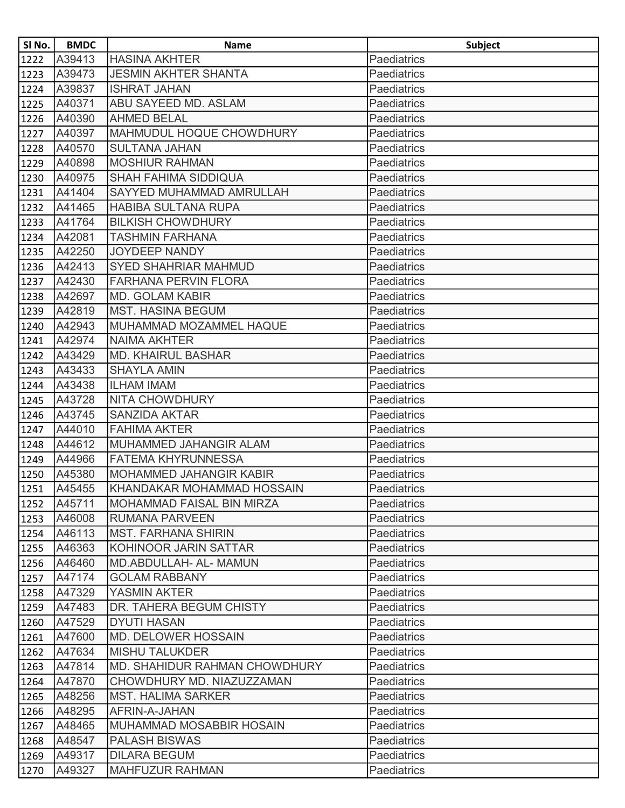| SI No. | <b>BMDC</b> | <b>Name</b>                          | <b>Subject</b>     |
|--------|-------------|--------------------------------------|--------------------|
| 1222   | A39413      | <b>HASINA AKHTER</b>                 | Paediatrics        |
| 1223   | A39473      | <b>JESMIN AKHTER SHANTA</b>          | <b>Paediatrics</b> |
| 1224   | A39837      | <b>ISHRAT JAHAN</b>                  | Paediatrics        |
| 1225   | A40371      | <b>ABU SAYEED MD, ASLAM</b>          | <b>Paediatrics</b> |
| 1226   | A40390      | <b>AHMED BELAL</b>                   | Paediatrics        |
| 1227   | A40397      | MAHMUDUL HOQUE CHOWDHURY             | Paediatrics        |
| 1228   | A40570      | <b>SULTANA JAHAN</b>                 | Paediatrics        |
| 1229   | A40898      | <b>MOSHIUR RAHMAN</b>                | Paediatrics        |
| 1230   | A40975      | <b>SHAH FAHIMA SIDDIQUA</b>          | Paediatrics        |
| 1231   | A41404      | <b>SAYYED MUHAMMAD AMRULLAH</b>      | Paediatrics        |
| 1232   | A41465      | <b>HABIBA SULTANA RUPA</b>           | Paediatrics        |
| 1233   | A41764      | <b>BILKISH CHOWDHURY</b>             | Paediatrics        |
| 1234   | A42081      | <b>TASHMIN FARHANA</b>               | Paediatrics        |
| 1235   | A42250      | <b>JOYDEEP NANDY</b>                 | Paediatrics        |
| 1236   | A42413      | <b>SYED SHAHRIAR MAHMUD</b>          | Paediatrics        |
| 1237   | A42430      | <b>FARHANA PERVIN FLORA</b>          | Paediatrics        |
| 1238   | A42697      | <b>MD. GOLAM KABIR</b>               | <b>Paediatrics</b> |
| 1239   | A42819      | <b>MST. HASINA BEGUM</b>             | Paediatrics        |
| 1240   | A42943      | MUHAMMAD MOZAMMEL HAQUE              | Paediatrics        |
| 1241   | A42974      | <b>NAIMA AKHTER</b>                  | Paediatrics        |
| 1242   | A43429      | <b>MD. KHAIRUL BASHAR</b>            | Paediatrics        |
| 1243   | A43433      | <b>SHAYLA AMIN</b>                   | Paediatrics        |
| 1244   | A43438      | <b>ILHAM IMAM</b>                    | Paediatrics        |
| 1245   | A43728      | <b>NITA CHOWDHURY</b>                | Paediatrics        |
| 1246   | A43745      | <b>SANZIDA AKTAR</b>                 | Paediatrics        |
| 1247   | A44010      | <b>FAHIMA AKTER</b>                  | Paediatrics        |
| 1248   | A44612      | MUHAMMED JAHANGIR ALAM               | Paediatrics        |
| 1249   | A44966      | <b>FATEMA KHYRUNNESSA</b>            | Paediatrics        |
| 1250   | A45380      | <b>MOHAMMED JAHANGIR KABIR</b>       | Paediatrics        |
| 1251   | A45455      | KHANDAKAR MOHAMMAD HOSSAIN           | Paediatrics        |
| 1252   | A45711      | <b>MOHAMMAD FAISAL BIN MIRZA</b>     | Paediatrics        |
| 1253   | A46008      | <b>RUMANA PARVEEN</b>                | Paediatrics        |
| 1254   | A46113      | <b>IMST. FARHANA SHIRIN</b>          | <b>Paediatrics</b> |
| 1255   | A46363      | KOHINOOR JARIN SATTAR                | <b>Paediatrics</b> |
| 1256   | A46460      | <b>MD.ABDULLAH- AL- MAMUN</b>        | Paediatrics        |
| 1257   | A47174      | <b>GOLAM RABBANY</b>                 | <b>Paediatrics</b> |
| 1258   | A47329      | YASMIN AKTER                         | Paediatrics        |
| 1259   | A47483      | DR. TAHERA BEGUM CHISTY              | <b>Paediatrics</b> |
| 1260   | A47529      | <b>DYUTI HASAN</b>                   | <b>Paediatrics</b> |
| 1261   | A47600      | <b>MD. DELOWER HOSSAIN</b>           | <b>Paediatrics</b> |
| 1262   | A47634      | <b>MISHU TALUKDER</b>                | Paediatrics        |
| 1263   | A47814      | <b>MD. SHAHIDUR RAHMAN CHOWDHURY</b> | <b>Paediatrics</b> |
| 1264   | A47870      | CHOWDHURY MD. NIAZUZZAMAN            | <b>Paediatrics</b> |
| 1265   | A48256      | <b>MST. HALIMA SARKER</b>            | <b>Paediatrics</b> |
| 1266   | A48295      | AFRIN-A-JAHAN                        | Paediatrics        |
| 1267   | A48465      | <b>MUHAMMAD MOSABBIR HOSAIN</b>      | Paediatrics        |
| 1268   | A48547      | <b>PALASH BISWAS</b>                 | Paediatrics        |
| 1269   | A49317      | <b>DILARA BEGUM</b>                  | <b>Paediatrics</b> |
| 1270   | A49327      | <b>MAHFUZUR RAHMAN</b>               | <b>Paediatrics</b> |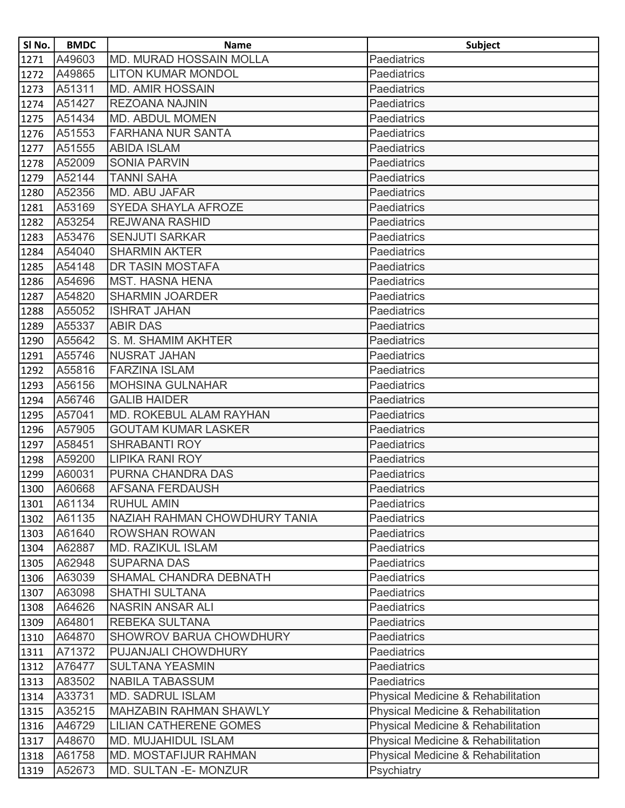| SI No. | <b>BMDC</b> | <b>Name</b>                    | <b>Subject</b>                     |
|--------|-------------|--------------------------------|------------------------------------|
| 1271   | A49603      | <b>MD. MURAD HOSSAIN MOLLA</b> | Paediatrics                        |
| 1272   | A49865      | <b>LITON KUMAR MONDOL</b>      | <b>Paediatrics</b>                 |
| 1273   | A51311      | <b>MD. AMIR HOSSAIN</b>        | <b>Paediatrics</b>                 |
| 1274   | A51427      | <b>REZOANA NAJNIN</b>          | <b>Paediatrics</b>                 |
| 1275   | A51434      | <b>MD. ABDUL MOMEN</b>         | <b>Paediatrics</b>                 |
| 1276   | A51553      | <b>FARHANA NUR SANTA</b>       | Paediatrics                        |
| 1277   | A51555      | <b>ABIDA ISLAM</b>             | <b>Paediatrics</b>                 |
| 1278   | A52009      | <b>SONIA PARVIN</b>            | Paediatrics                        |
| 1279   | A52144      | <b>TANNI SAHA</b>              | Paediatrics                        |
| 1280   | A52356      | <b>MD. ABU JAFAR</b>           | <b>Paediatrics</b>                 |
| 1281   | A53169      | <b>SYEDA SHAYLA AFROZE</b>     | Paediatrics                        |
| 1282   | A53254      | <b>REJWANA RASHID</b>          | <b>Paediatrics</b>                 |
| 1283   | A53476      | <b>SENJUTI SARKAR</b>          | <b>Paediatrics</b>                 |
| 1284   | A54040      | <b>SHARMIN AKTER</b>           | <b>Paediatrics</b>                 |
| 1285   | A54148      | <b>DR TASIN MOSTAFA</b>        | <b>Paediatrics</b>                 |
| 1286   | A54696      | <b>MST. HASNA HENA</b>         | Paediatrics                        |
| 1287   | A54820      | <b>SHARMIN JOARDER</b>         | <b>Paediatrics</b>                 |
| 1288   | A55052      | <b>ISHRAT JAHAN</b>            | <b>Paediatrics</b>                 |
| 1289   | A55337      | <b>ABIR DAS</b>                | <b>Paediatrics</b>                 |
| 1290   | A55642      | S. M. SHAMIM AKHTER            | Paediatrics                        |
| 1291   | A55746      | <b>NUSRAT JAHAN</b>            | Paediatrics                        |
| 1292   | A55816      | <b>FARZINA ISLAM</b>           | <b>Paediatrics</b>                 |
| 1293   | A56156      | <b>MOHSINA GULNAHAR</b>        | Paediatrics                        |
| 1294   | A56746      | <b>GALIB HAIDER</b>            | <b>Paediatrics</b>                 |
| 1295   | A57041      | MD. ROKEBUL ALAM RAYHAN        | Paediatrics                        |
| 1296   | A57905      | <b>GOUTAM KUMAR LASKER</b>     | <b>Paediatrics</b>                 |
| 1297   | A58451      | <b>SHRABANTI ROY</b>           | <b>Paediatrics</b>                 |
| 1298   | A59200      | <b>LIPIKA RANI ROY</b>         | <b>Paediatrics</b>                 |
| 1299   | A60031      | PURNA CHANDRA DAS              | <b>Paediatrics</b>                 |
| 1300   | A60668      | <b>AFSANA FERDAUSH</b>         | Paediatrics                        |
| 1301   | A61134      | <b>RUHUL AMIN</b>              | <b>Paediatrics</b>                 |
| 1302   | A61135      | NAZIAH RAHMAN CHOWDHURY TANIA  | <b>Paediatrics</b>                 |
| 1303   | A61640      | <b>ROWSHAN ROWAN</b>           | <b>Paediatrics</b>                 |
| 1304   | A62887      | <b>MD. RAZIKUL ISLAM</b>       | <b>Paediatrics</b>                 |
| 1305   | A62948      | <b>SUPARNA DAS</b>             | <b>Paediatrics</b>                 |
| 1306   | A63039      | SHAMAL CHANDRA DEBNATH         | <b>Paediatrics</b>                 |
| 1307   | A63098      | <b>SHATHI SULTANA</b>          | Paediatrics                        |
| 1308   | A64626      | <b>NASRIN ANSAR ALI</b>        | <b>Paediatrics</b>                 |
| 1309   | A64801      | <b>REBEKA SULTANA</b>          | <b>Paediatrics</b>                 |
| 1310   | A64870      | <b>SHOWROV BARUA CHOWDHURY</b> | <b>Paediatrics</b>                 |
| 1311   | A71372      | PUJANJALI CHOWDHURY            | <b>Paediatrics</b>                 |
| 1312   | A76477      | <b>SULTANA YEASMIN</b>         | Paediatrics                        |
| 1313   | A83502      | <b>NABILA TABASSUM</b>         | <b>Paediatrics</b>                 |
| 1314   | A33731      | <b>MD. SADRUL ISLAM</b>        | Physical Medicine & Rehabilitation |
| 1315   | A35215      | <b>MAHZABIN RAHMAN SHAWLY</b>  | Physical Medicine & Rehabilitation |
| 1316   | A46729      | <b>LILIAN CATHERENE GOMES</b>  | Physical Medicine & Rehabilitation |
| 1317   | A48670      | <b>MD. MUJAHIDUL ISLAM</b>     | Physical Medicine & Rehabilitation |
| 1318   | A61758      | MD. MOSTAFIJUR RAHMAN          | Physical Medicine & Rehabilitation |
| 1319   | A52673      | MD. SULTAN - E- MONZUR         | Psychiatry                         |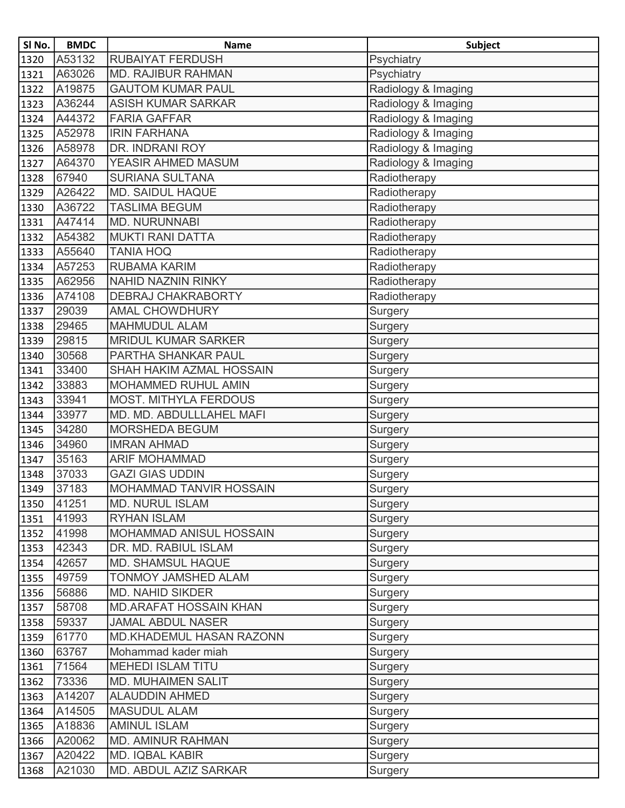| SI No.        | <b>BMDC</b> | <b>Name</b>                    | <b>Subject</b>      |
|---------------|-------------|--------------------------------|---------------------|
| 1320          | A53132      | <b>RUBAIYAT FERDUSH</b>        | Psychiatry          |
| 1321          | A63026      | <b>MD. RAJIBUR RAHMAN</b>      | Psychiatry          |
| 1322          | A19875      | <b>GAUTOM KUMAR PAUL</b>       | Radiology & Imaging |
| 1323          | A36244      | <b>ASISH KUMAR SARKAR</b>      | Radiology & Imaging |
| 1324          | A44372      | <b>FARIA GAFFAR</b>            | Radiology & Imaging |
| 1325          | A52978      | <b>IRIN FARHANA</b>            | Radiology & Imaging |
| 1326          | A58978      | DR. INDRANI ROY                | Radiology & Imaging |
| 1327          | A64370      | YEASIR AHMED MASUM             | Radiology & Imaging |
| 1328          | 67940       | <b>SURIANA SULTANA</b>         | Radiotherapy        |
| 1329          | A26422      | <b>MD. SAIDUL HAQUE</b>        | Radiotherapy        |
| 1330          | A36722      | <b>TASLIMA BEGUM</b>           | Radiotherapy        |
| 1331          | A47414      | MD. NURUNNABI                  | Radiotherapy        |
| 1332          | A54382      | <b>MUKTI RANI DATTA</b>        | Radiotherapy        |
| 1333          | A55640      | <b>TANIA HOQ</b>               | Radiotherapy        |
| 1334          | A57253      | <b>RUBAMA KARIM</b>            | Radiotherapy        |
| 1335          | A62956      | <b>NAHID NAZNIN RINKY</b>      | Radiotherapy        |
| 1336          | A74108      | <b>DEBRAJ CHAKRABORTY</b>      | Radiotherapy        |
| 1337          | 29039       | <b>AMAL CHOWDHURY</b>          | Surgery             |
| 1338          | 29465       | <b>MAHMUDUL ALAM</b>           | Surgery             |
| 1339          | 29815       | <b>MRIDUL KUMAR SARKER</b>     | Surgery             |
| 1340          | 30568       | PARTHA SHANKAR PAUL            | Surgery             |
| 1341          | 33400       | SHAH HAKIM AZMAL HOSSAIN       | Surgery             |
| 1342          | 33883       | <b>MOHAMMED RUHUL AMIN</b>     | Surgery             |
| 1343          | 33941       | <b>MOST. MITHYLA FERDOUS</b>   | Surgery             |
| 1344          | 33977       | MD. MD. ABDULLLAHEL MAFI       | Surgery             |
| 1345          | 34280       | MORSHEDA BEGUM                 | Surgery             |
| 1346          | 34960       | <b>IMRAN AHMAD</b>             | Surgery             |
| 1347          | 35163       | <b>ARIF MOHAMMAD</b>           | Surgery             |
| 1348          | 37033       | <b>GAZI GIAS UDDIN</b>         | Surgery             |
| $\sqrt{1349}$ | 37183       | MOHAMMAD TANVIR HOSSAIN        | Surgery             |
| 1350          | 41251       | <b>MD. NURUL ISLAM</b>         | Surgery             |
| 1351          | 41993       | <b>RYHAN ISLAM</b>             | Surgery             |
| 1352          | 41998       | <b>MOHAMMAD ANISUL HOSSAIN</b> | Surgery             |
| 1353          | 42343       | DR. MD. RABIUL ISLAM           | Surgery             |
| 1354          | 42657       | <b>MD. SHAMSUL HAQUE</b>       | Surgery             |
| 1355          | 49759       | TONMOY JAMSHED ALAM            | Surgery             |
| 1356          | 56886       | <b>MD. NAHID SIKDER</b>        | Surgery             |
| 1357          | 58708       | <b>MD.ARAFAT HOSSAIN KHAN</b>  | Surgery             |
| 1358          | 59337       | <b>JAMAL ABDUL NASER</b>       | Surgery             |
| 1359          | 61770       | MD.KHADEMUL HASAN RAZONN       | Surgery             |
| 1360          | 63767       | Mohammad kader miah            | Surgery             |
| 1361          | 71564       | <b>MEHEDI ISLAM TITU</b>       | Surgery             |
| 1362          | 73336       | <b>MD. MUHAIMEN SALIT</b>      | Surgery             |
| 1363          | A14207      | <b>ALAUDDIN AHMED</b>          | Surgery             |
| 1364          | A14505      | <b>MASUDUL ALAM</b>            | Surgery             |
| 1365          | A18836      | <b>AMINUL ISLAM</b>            | Surgery             |
| 1366          | A20062      | <b>MD. AMINUR RAHMAN</b>       | Surgery             |
| 1367          | A20422      | <b>MD. IQBAL KABIR</b>         | Surgery             |
| 1368          | A21030      | MD. ABDUL AZIZ SARKAR          | Surgery             |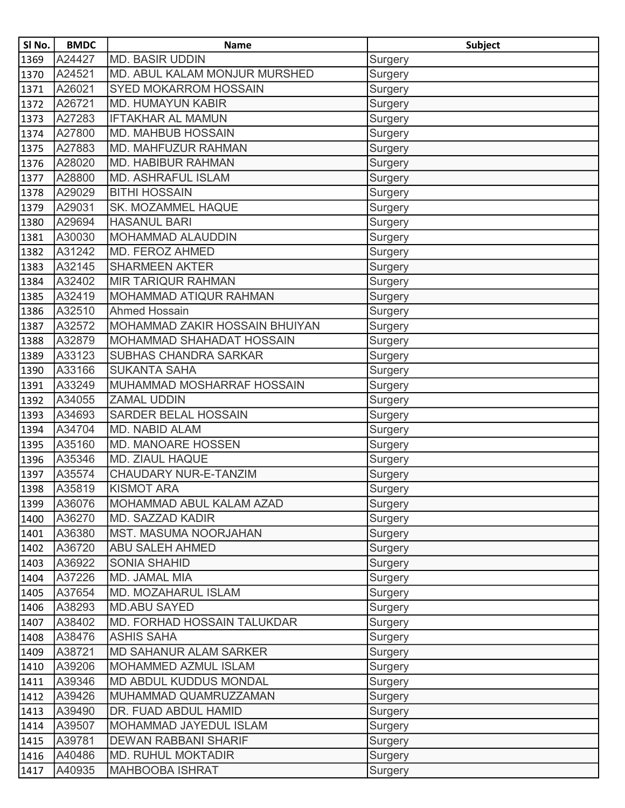| SI No. | <b>BMDC</b> | <b>Name</b>                    | <b>Subject</b> |
|--------|-------------|--------------------------------|----------------|
| 1369   | A24427      | <b>MD. BASIR UDDIN</b>         | Surgery        |
| 1370   | A24521      | MD. ABUL KALAM MONJUR MURSHED  | Surgery        |
| 1371   | A26021      | <b>SYED MOKARROM HOSSAIN</b>   | Surgery        |
| 1372   | A26721      | <b>MD. HUMAYUN KABIR</b>       | Surgery        |
| 1373   | A27283      | <b>IFTAKHAR AL MAMUN</b>       | Surgery        |
| 1374   | A27800      | <b>MD. MAHBUB HOSSAIN</b>      | Surgery        |
| 1375   | A27883      | MD. MAHFUZUR RAHMAN            | Surgery        |
| 1376   | A28020      | MD. HABIBUR RAHMAN             | Surgery        |
| 1377   | A28800      | <b>MD. ASHRAFUL ISLAM</b>      | Surgery        |
| 1378   | A29029      | <b>BITHI HOSSAIN</b>           | Surgery        |
| 1379   | A29031      | SK. MOZAMMEL HAQUE             | <b>Surgery</b> |
| 1380   | A29694      | <b>HASANUL BARI</b>            | Surgery        |
| 1381   | A30030      | MOHAMMAD ALAUDDIN              | Surgery        |
| 1382   | A31242      | MD. FEROZ AHMED                | Surgery        |
| 1383   | A32145      | <b>SHARMEEN AKTER</b>          | Surgery        |
| 1384   | A32402      | <b>MIR TARIQUR RAHMAN</b>      | Surgery        |
| 1385   | A32419      | MOHAMMAD ATIQUR RAHMAN         | Surgery        |
| 1386   | A32510      | <b>Ahmed Hossain</b>           | Surgery        |
| 1387   | A32572      | MOHAMMAD ZAKIR HOSSAIN BHUIYAN | Surgery        |
| 1388   | A32879      | MOHAMMAD SHAHADAT HOSSAIN      | Surgery        |
| 1389   | A33123      | <b>SUBHAS CHANDRA SARKAR</b>   | Surgery        |
| 1390   | A33166      | <b>SUKANTA SAHA</b>            | Surgery        |
| 1391   | A33249      | MUHAMMAD MOSHARRAF HOSSAIN     | Surgery        |
| 1392   | A34055      | <b>ZAMAL UDDIN</b>             | Surgery        |
| 1393   | A34693      | SARDER BELAL HOSSAIN           | Surgery        |
| 1394   | A34704      | <b>MD. NABID ALAM</b>          | Surgery        |
| 1395   | A35160      | MD. MANOARE HOSSEN             | Surgery        |
| 1396   | A35346      | <b>MD. ZIAUL HAQUE</b>         | Surgery        |
| 1397   | A35574      | CHAUDARY NUR-E-TANZIM          | Surgery        |
| 1398   | A35819      | <b>KISMOT ARA</b>              | Surgery        |
| 1399   | A36076      | MOHAMMAD ABUL KALAM AZAD       | Surgery        |
| 1400   | A36270      | MD. SAZZAD KADIR               | Surgery        |
| 1401   | A36380      | MST. MASUMA NOORJAHAN          | Surgery        |
| 1402   | A36720      | <b>ABU SALEH AHMED</b>         | Surgery        |
| 1403   | A36922      | <b>SONIA SHAHID</b>            | Surgery        |
| 1404   | A37226      | MD. JAMAL MIA                  | Surgery        |
| 1405   | A37654      | <b>MD. MOZAHARUL ISLAM</b>     | Surgery        |
| 1406   | A38293      | <b>MD.ABU SAYED</b>            | Surgery        |
| 1407   | A38402      | MD. FORHAD HOSSAIN TALUKDAR    | Surgery        |
| 1408   | A38476      | <b>ASHIS SAHA</b>              | Surgery        |
| 1409   | A38721      | <b>MD SAHANUR ALAM SARKER</b>  | Surgery        |
| 1410   | A39206      | MOHAMMED AZMUL ISLAM           | Surgery        |
| 1411   | A39346      | MD ABDUL KUDDUS MONDAL         | Surgery        |
| 1412   | A39426      | MUHAMMAD QUAMRUZZAMAN          | Surgery        |
| 1413   | A39490      | DR. FUAD ABDUL HAMID           | Surgery        |
| 1414   | A39507      | MOHAMMAD JAYEDUL ISLAM         | Surgery        |
| 1415   | A39781      | <b>DEWAN RABBANI SHARIF</b>    | Surgery        |
| 1416   | A40486      | <b>MD. RUHUL MOKTADIR</b>      | Surgery        |
| 1417   | A40935      | <b>MAHBOOBA ISHRAT</b>         | Surgery        |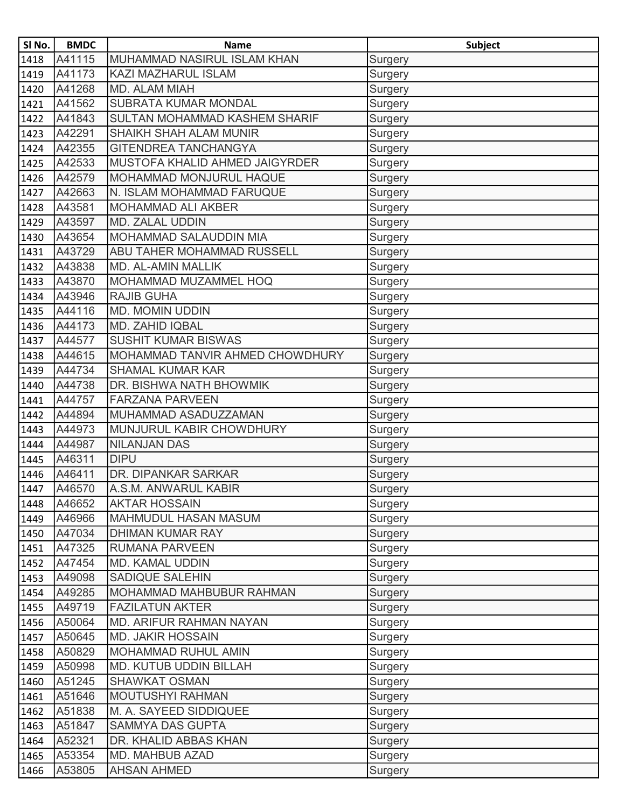| SI No. | <b>BMDC</b> | <b>Name</b>                     | <b>Subject</b> |
|--------|-------------|---------------------------------|----------------|
| 1418   | A41115      | MUHAMMAD NASIRUL ISLAM KHAN     | Surgery        |
| 1419   | A41173      | <b>KAZI MAZHARUL ISLAM</b>      | Surgery        |
| 1420   | A41268      | MD. ALAM MIAH                   | Surgery        |
| 1421   | A41562      | <b>SUBRATA KUMAR MONDAL</b>     | Surgery        |
| 1422   | A41843      | SULTAN MOHAMMAD KASHEM SHARIF   | <b>Surgery</b> |
| 1423   | A42291      | SHAIKH SHAH ALAM MUNIR          | Surgery        |
| 1424   | A42355      | <b>GITENDREA TANCHANGYA</b>     | Surgery        |
| 1425   | A42533      | MUSTOFA KHALID AHMED JAIGYRDER  | Surgery        |
| 1426   | A42579      | MOHAMMAD MONJURUL HAQUE         | Surgery        |
| 1427   | A42663      | N. ISLAM MOHAMMAD FARUQUE       | Surgery        |
| 1428   | A43581      | MOHAMMAD ALI AKBER              | Surgery        |
| 1429   | A43597      | <b>MD. ZALAL UDDIN</b>          | Surgery        |
| 1430   | A43654      | MOHAMMAD SALAUDDIN MIA          | Surgery        |
| 1431   | A43729      | ABU TAHER MOHAMMAD RUSSELL      | Surgery        |
| 1432   | A43838      | MD. AL-AMIN MALLIK              | Surgery        |
| 1433   | A43870      | MOHAMMAD MUZAMMEL HOQ           | Surgery        |
| 1434   | A43946      | <b>RAJIB GUHA</b>               | Surgery        |
| 1435   | A44116      | <b>MD. MOMIN UDDIN</b>          | Surgery        |
| 1436   | A44173      | MD. ZAHID IQBAL                 | Surgery        |
| 1437   | A44577      | <b>SUSHIT KUMAR BISWAS</b>      | Surgery        |
| 1438   | A44615      | MOHAMMAD TANVIR AHMED CHOWDHURY | Surgery        |
| 1439   | A44734      | <b>SHAMAL KUMAR KAR</b>         | Surgery        |
| 1440   | A44738      | DR. BISHWA NATH BHOWMIK         | Surgery        |
| 1441   | A44757      | <b>FARZANA PARVEEN</b>          | Surgery        |
| 1442   | A44894      | MUHAMMAD ASADUZZAMAN            | Surgery        |
| 1443   | A44973      | MUNJURUL KABIR CHOWDHURY        | Surgery        |
| 1444   | A44987      | <b>NILANJAN DAS</b>             | Surgery        |
| 1445   | A46311      | <b>DIPU</b>                     | Surgery        |
| 1446   | A46411      | DR. DIPANKAR SARKAR             | Surgery        |
| 1447   | A46570      | A.S.M. ANWARUL KABIR            | Surgery        |
| 1448   | A46652      | <b>AKTAR HOSSAIN</b>            | Surgery        |
| 1449   | A46966      | MAHMUDUL HASAN MASUM            | Surgery        |
| 1450   | A47034      | DHIMAN KUMAR RAY                | Surgery        |
| 1451   | A47325      | <b>RUMANA PARVEEN</b>           | Surgery        |
| 1452   | A47454      | MD. KAMAL UDDIN                 | <b>Surgery</b> |
| 1453   | A49098      | <b>SADIQUE SALEHIN</b>          | <b>Surgery</b> |
| 1454   | A49285      | MOHAMMAD MAHBUBUR RAHMAN        | Surgery        |
| 1455   | A49719      | <b>FAZILATUN AKTER</b>          | Surgery        |
| 1456   | A50064      | MD. ARIFUR RAHMAN NAYAN         | Surgery        |
| 1457   | A50645      | <b>MD. JAKIR HOSSAIN</b>        | Surgery        |
| 1458   | A50829      | MOHAMMAD RUHUL AMIN             | Surgery        |
| 1459   | A50998      | MD. KUTUB UDDIN BILLAH          | <b>Surgery</b> |
| 1460   | A51245      | <b>SHAWKAT OSMAN</b>            | Surgery        |
| 1461   | A51646      | <b>MOUTUSHYI RAHMAN</b>         | Surgery        |
| 1462   | A51838      | M. A. SAYEED SIDDIQUEE          | Surgery        |
| 1463   | A51847      | <b>SAMMYA DAS GUPTA</b>         | Surgery        |
| 1464   | A52321      | DR. KHALID ABBAS KHAN           | Surgery        |
| 1465   | A53354      | MD. MAHBUB AZAD                 | Surgery        |
| 1466   | A53805      | <b>AHSAN AHMED</b>              | Surgery        |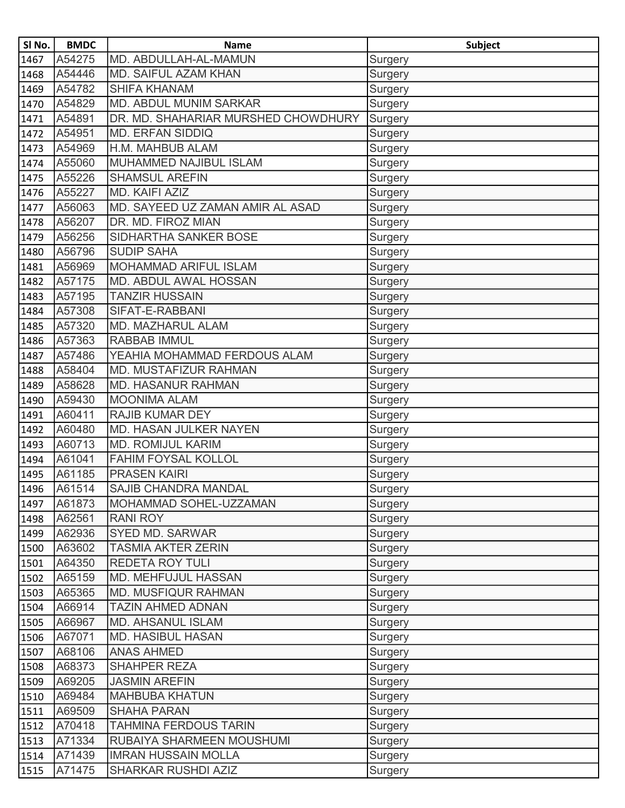| SI No. | <b>BMDC</b> | <b>Name</b>                         | <b>Subject</b> |
|--------|-------------|-------------------------------------|----------------|
| 1467   | A54275      | MD. ABDULLAH-AL-MAMUN               | Surgery        |
| 1468   | A54446      | <b>MD. SAIFUL AZAM KHAN</b>         | Surgery        |
| 1469   | A54782      | <b>SHIFA KHANAM</b>                 | Surgery        |
| 1470   | A54829      | <b>MD. ABDUL MUNIM SARKAR</b>       | Surgery        |
| 1471   | A54891      | DR. MD. SHAHARIAR MURSHED CHOWDHURY | <b>Surgery</b> |
| 1472   | A54951      | <b>MD. ERFAN SIDDIQ</b>             | Surgery        |
| 1473   | A54969      | H.M. MAHBUB ALAM                    | Surgery        |
| 1474   | A55060      | MUHAMMED NAJIBUL ISLAM              | Surgery        |
| 1475   | A55226      | <b>SHAMSUL AREFIN</b>               | Surgery        |
| 1476   | A55227      | MD. KAIFI AZIZ                      | Surgery        |
| 1477   | A56063      | MD. SAYEED UZ ZAMAN AMIR AL ASAD    | Surgery        |
| 1478   | A56207      | DR. MD. FIROZ MIAN                  | Surgery        |
| 1479   | A56256      | SIDHARTHA SANKER BOSE               | Surgery        |
| 1480   | A56796      | <b>SUDIP SAHA</b>                   | Surgery        |
| 1481   | A56969      | <b>MOHAMMAD ARIFUL ISLAM</b>        | Surgery        |
| 1482   | A57175      | MD. ABDUL AWAL HOSSAN               | Surgery        |
| 1483   | A57195      | <b>TANZIR HUSSAIN</b>               | Surgery        |
| 1484   | A57308      | SIFAT-E-RABBANI                     | Surgery        |
| 1485   | A57320      | MD. MAZHARUL ALAM                   | Surgery        |
| 1486   | A57363      | <b>RABBAB IMMUL</b>                 | Surgery        |
| 1487   | A57486      | YEAHIA MOHAMMAD FERDOUS ALAM        | <b>Surgery</b> |
| 1488   | A58404      | MD. MUSTAFIZUR RAHMAN               | Surgery        |
| 1489   | A58628      | <b>MD. HASANUR RAHMAN</b>           | <b>Surgery</b> |
| 1490   | A59430      | <b>MOONIMA ALAM</b>                 | Surgery        |
| 1491   | A60411      | <b>RAJIB KUMAR DEY</b>              | Surgery        |
| 1492   | A60480      | MD. HASAN JULKER NAYEN              | Surgery        |
| 1493   | A60713      | <b>MD. ROMIJUL KARIM</b>            | Surgery        |
| 1494   | A61041      | <b>FAHIM FOYSAL KOLLOL</b>          | Surgery        |
| 1495   | A61185      | <b>PRASEN KAIRI</b>                 | <b>Surgery</b> |
| 1496   | A61514      | <b>SAJIB CHANDRA MANDAL</b>         | Surgery        |
| 1497   | A61873      | MOHAMMAD SOHEL-UZZAMAN              | Surgery        |
| 1498   | A62561      | <b>RANI ROY</b>                     | Surgery        |
| 1499   | A62936      | SYED MD. SARWAR                     | Surgery        |
| 1500   | A63602      | <b>TASMIA AKTER ZERIN</b>           | Surgery        |
| 1501   | A64350      | <b>REDETA ROY TULI</b>              | <b>Surgery</b> |
| 1502   | A65159      | MD. MEHFUJUL HASSAN                 | <b>Surgery</b> |
| 1503   | A65365      | MD. MUSFIQUR RAHMAN                 | Surgery        |
| 1504   | A66914      | <b>TAZIN AHMED ADNAN</b>            | Surgery        |
| 1505   | A66967      | MD. AHSANUL ISLAM                   | Surgery        |
| 1506   | A67071      | <b>MD. HASIBUL HASAN</b>            | Surgery        |
| 1507   | A68106      | <b>ANAS AHMED</b>                   | <b>Surgery</b> |
| 1508   | A68373      | <b>SHAHPER REZA</b>                 | Surgery        |
| 1509   | A69205      | <b>JASMIN AREFIN</b>                | Surgery        |
| 1510   | A69484      | <b>MAHBUBA KHATUN</b>               | Surgery        |
| 1511   | A69509      | <b>SHAHA PARAN</b>                  | Surgery        |
| 1512   | A70418      | <b>TAHMINA FERDOUS TARIN</b>        | Surgery        |
| 1513   | A71334      | RUBAIYA SHARMEEN MOUSHUMI           | Surgery        |
| 1514   | A71439      | <b>IMRAN HUSSAIN MOLLA</b>          | Surgery        |
| 1515   | A71475      | SHARKAR RUSHDI AZIZ                 | Surgery        |